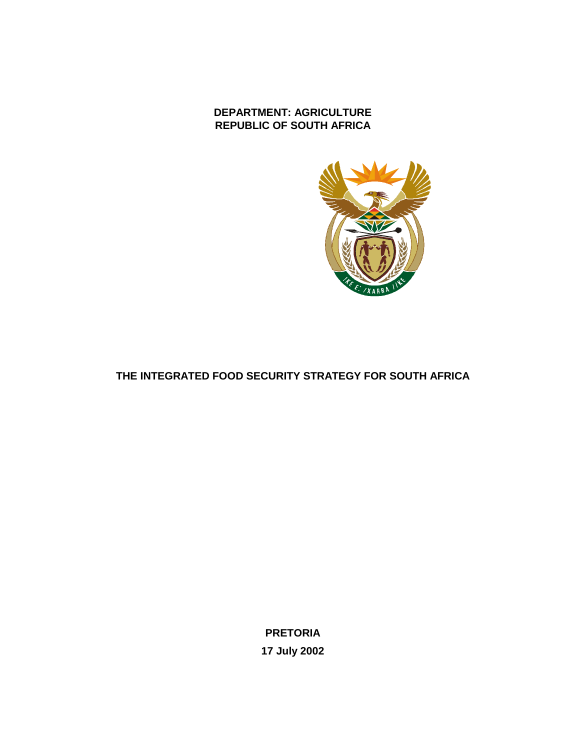# **DEPARTMENT: AGRICULTURE REPUBLIC OF SOUTH AFRICA**



# **THE INTEGRATED FOOD SECURITY STRATEGY FOR SOUTH AFRICA**

**PRETORIA 17 July 2002**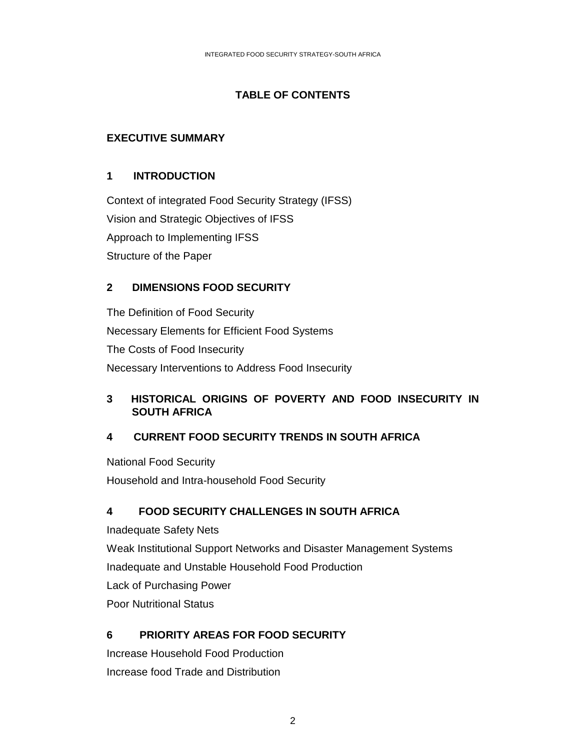# **TABLE OF CONTENTS**

## **EXECUTIVE SUMMARY**

## **1 INTRODUCTION**

Context of integrated Food Security Strategy (IFSS) Vision and Strategic Objectives of IFSS Approach to Implementing IFSS Structure of the Paper

## **2 DIMENSIONS FOOD SECURITY**

The Definition of Food Security Necessary Elements for Efficient Food Systems The Costs of Food Insecurity Necessary Interventions to Address Food Insecurity

## **3 HISTORICAL ORIGINS OF POVERTY AND FOOD INSECURITY IN SOUTH AFRICA**

## **4 CURRENT FOOD SECURITY TRENDS IN SOUTH AFRICA**

National Food Security Household and Intra-household Food Security

## **4 FOOD SECURITY CHALLENGES IN SOUTH AFRICA**

Inadequate Safety Nets Weak Institutional Support Networks and Disaster Management Systems Inadequate and Unstable Household Food Production Lack of Purchasing Power Poor Nutritional Status

## **6 PRIORITY AREAS FOR FOOD SECURITY**

Increase Household Food Production Increase food Trade and Distribution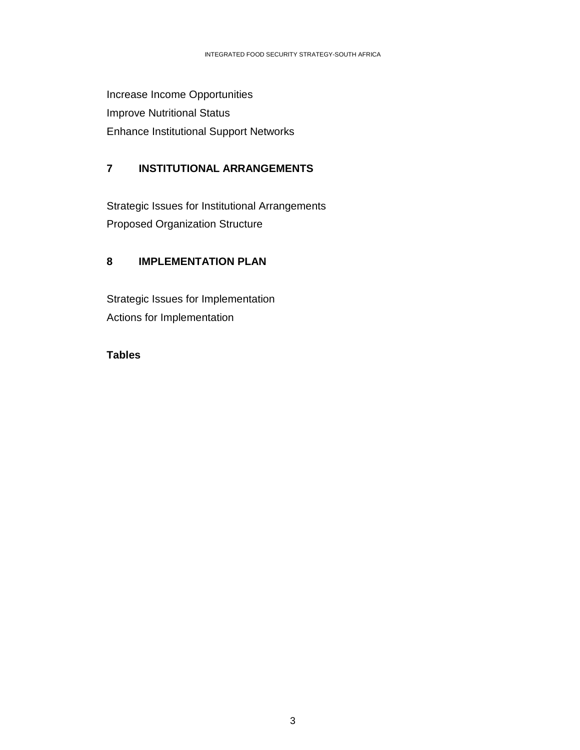Increase Income Opportunities Improve Nutritional Status Enhance Institutional Support Networks

# **7 INSTITUTIONAL ARRANGEMENTS**

Strategic Issues for Institutional Arrangements Proposed Organization Structure

# **8 IMPLEMENTATION PLAN**

Strategic Issues for Implementation Actions for Implementation

## **Tables**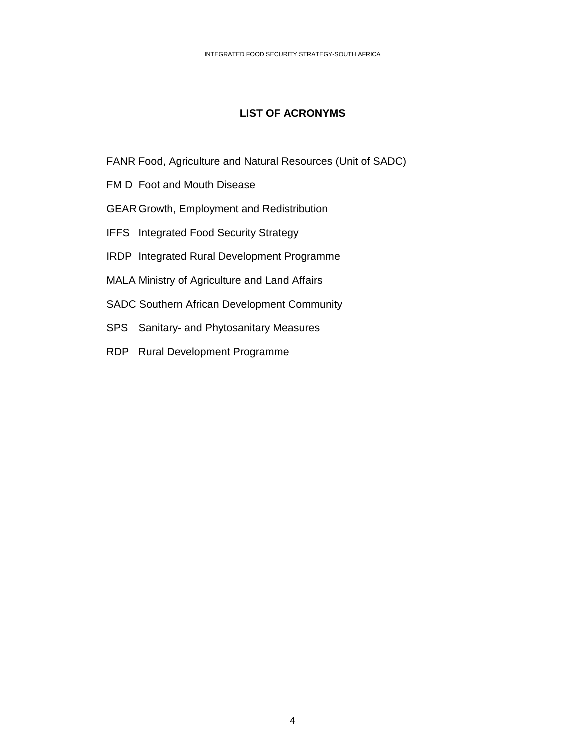## **LIST OF ACRONYMS**

- FANR Food, Agriculture and Natural Resources (Unit of SADC)
- FM D Foot and Mouth Disease
- GEAR Growth, Employment and Redistribution
- IFFS Integrated Food Security Strategy
- IRDP Integrated Rural Development Programme
- MALA Ministry of Agriculture and Land Affairs
- SADC Southern African Development Community
- SPS Sanitary- and Phytosanitary Measures
- RDP Rural Development Programme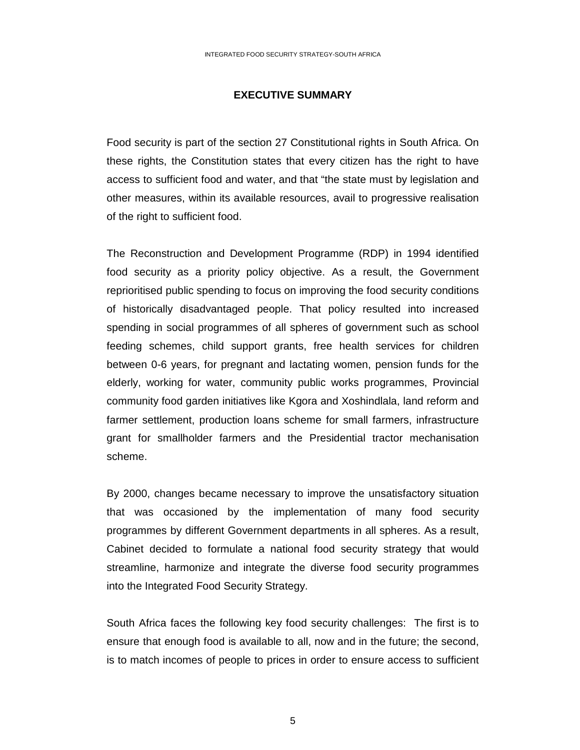### **EXECUTIVE SUMMARY**

Food security is part of the section 27 Constitutional rights in South Africa. On these rights, the Constitution states that every citizen has the right to have access to sufficient food and water, and that "the state must by legislation and other measures, within its available resources, avail to progressive realisation of the right to sufficient food.

The Reconstruction and Development Programme (RDP) in 1994 identified food security as a priority policy objective. As a result, the Government reprioritised public spending to focus on improving the food security conditions of historically disadvantaged people. That policy resulted into increased spending in social programmes of all spheres of government such as school feeding schemes, child support grants, free health services for children between 0-6 years, for pregnant and lactating women, pension funds for the elderly, working for water, community public works programmes, Provincial community food garden initiatives like Kgora and Xoshindlala, land reform and farmer settlement, production loans scheme for small farmers, infrastructure grant for smallholder farmers and the Presidential tractor mechanisation scheme.

By 2000, changes became necessary to improve the unsatisfactory situation that was occasioned by the implementation of many food security programmes by different Government departments in all spheres. As a result, Cabinet decided to formulate a national food security strategy that would streamline, harmonize and integrate the diverse food security programmes into the Integrated Food Security Strategy.

South Africa faces the following key food security challenges: The first is to ensure that enough food is available to all, now and in the future; the second, is to match incomes of people to prices in order to ensure access to sufficient

 $5<sup>th</sup>$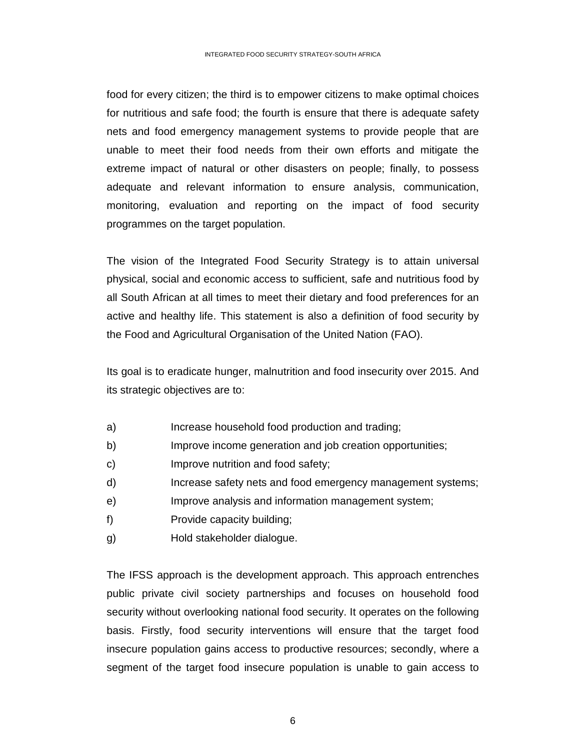food for every citizen; the third is to empower citizens to make optimal choices for nutritious and safe food; the fourth is ensure that there is adequate safety nets and food emergency management systems to provide people that are unable to meet their food needs from their own efforts and mitigate the extreme impact of natural or other disasters on people; finally, to possess adequate and relevant information to ensure analysis, communication, monitoring, evaluation and reporting on the impact of food security programmes on the target population.

The vision of the Integrated Food Security Strategy is to attain universal physical, social and economic access to sufficient, safe and nutritious food by all South African at all times to meet their dietary and food preferences for an active and healthy life. This statement is also a definition of food security by the Food and Agricultural Organisation of the United Nation (FAO).

Its goal is to eradicate hunger, malnutrition and food insecurity over 2015. And its strategic objectives are to:

- a) Increase household food production and trading;
- b) Improve income generation and job creation opportunities;
- c) Improve nutrition and food safety;
- d) Increase safety nets and food emergency management systems;
- e) Improve analysis and information management system;
- f) Provide capacity building;
- g) Hold stakeholder dialogue.

The IFSS approach is the development approach. This approach entrenches public private civil society partnerships and focuses on household food security without overlooking national food security. It operates on the following basis. Firstly, food security interventions will ensure that the target food insecure population gains access to productive resources; secondly, where a segment of the target food insecure population is unable to gain access to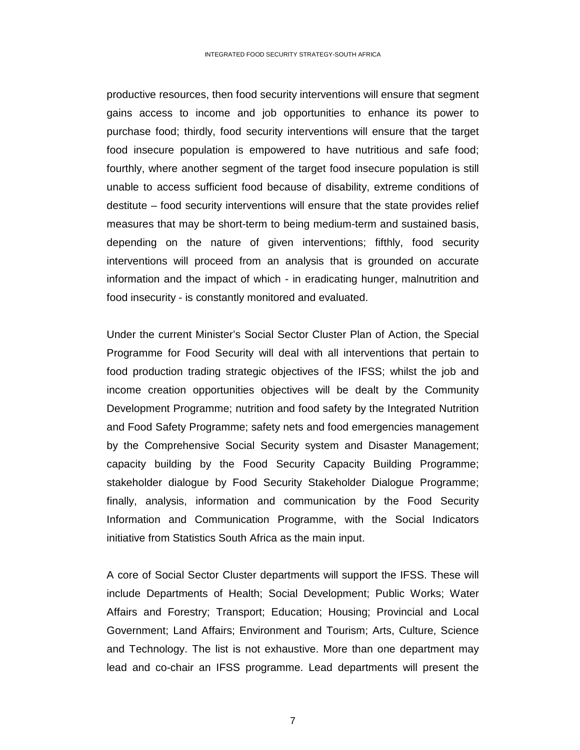productive resources, then food security interventions will ensure that segment gains access to income and job opportunities to enhance its power to purchase food; thirdly, food security interventions will ensure that the target food insecure population is empowered to have nutritious and safe food; fourthly, where another segment of the target food insecure population is still unable to access sufficient food because of disability, extreme conditions of destitute – food security interventions will ensure that the state provides relief measures that may be short-term to being medium-term and sustained basis, depending on the nature of given interventions; fifthly, food security interventions will proceed from an analysis that is grounded on accurate information and the impact of which - in eradicating hunger, malnutrition and food insecurity - is constantly monitored and evaluated.

Under the current Minister's Social Sector Cluster Plan of Action, the Special Programme for Food Security will deal with all interventions that pertain to food production trading strategic objectives of the IFSS; whilst the job and income creation opportunities objectives will be dealt by the Community Development Programme; nutrition and food safety by the Integrated Nutrition and Food Safety Programme; safety nets and food emergencies management by the Comprehensive Social Security system and Disaster Management; capacity building by the Food Security Capacity Building Programme; stakeholder dialogue by Food Security Stakeholder Dialogue Programme; finally, analysis, information and communication by the Food Security Information and Communication Programme, with the Social Indicators initiative from Statistics South Africa as the main input.

A core of Social Sector Cluster departments will support the IFSS. These will include Departments of Health; Social Development; Public Works; Water Affairs and Forestry; Transport; Education; Housing; Provincial and Local Government; Land Affairs; Environment and Tourism; Arts, Culture, Science and Technology. The list is not exhaustive. More than one department may lead and co-chair an IFSS programme. Lead departments will present the

7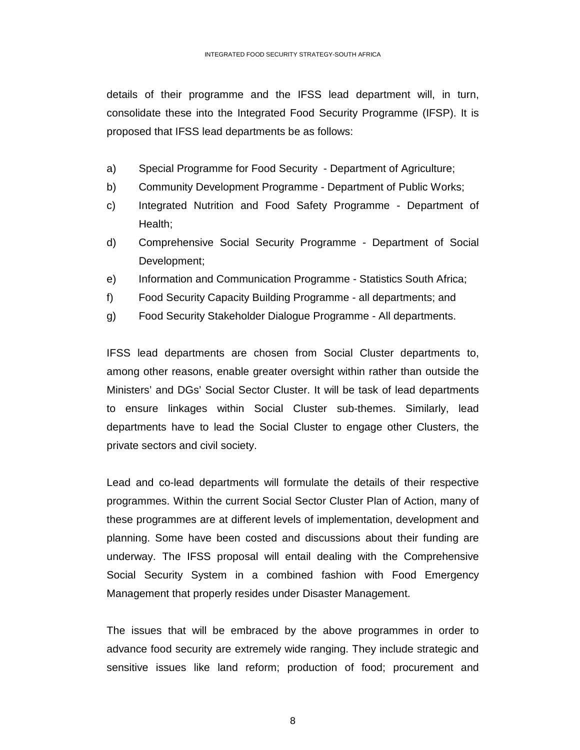details of their programme and the IFSS lead department will, in turn, consolidate these into the Integrated Food Security Programme (IFSP). It is proposed that IFSS lead departments be as follows:

- a) Special Programme for Food Security Department of Agriculture;
- b) Community Development Programme Department of Public Works;
- c) Integrated Nutrition and Food Safety Programme Department of Health;
- d) Comprehensive Social Security Programme Department of Social Development;
- e) Information and Communication Programme Statistics South Africa;
- f) Food Security Capacity Building Programme all departments; and
- g) Food Security Stakeholder Dialogue Programme All departments.

IFSS lead departments are chosen from Social Cluster departments to, among other reasons, enable greater oversight within rather than outside the Ministers' and DGs' Social Sector Cluster. It will be task of lead departments to ensure linkages within Social Cluster sub-themes. Similarly, lead departments have to lead the Social Cluster to engage other Clusters, the private sectors and civil society.

Lead and co-lead departments will formulate the details of their respective programmes. Within the current Social Sector Cluster Plan of Action, many of these programmes are at different levels of implementation, development and planning. Some have been costed and discussions about their funding are underway. The IFSS proposal will entail dealing with the Comprehensive Social Security System in a combined fashion with Food Emergency Management that properly resides under Disaster Management.

The issues that will be embraced by the above programmes in order to advance food security are extremely wide ranging. They include strategic and sensitive issues like land reform; production of food; procurement and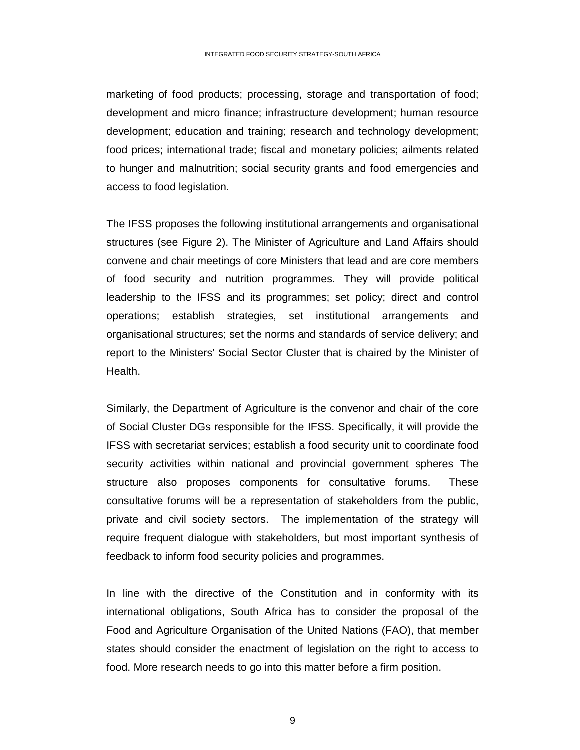marketing of food products; processing, storage and transportation of food; development and micro finance; infrastructure development; human resource development; education and training; research and technology development; food prices; international trade; fiscal and monetary policies; ailments related to hunger and malnutrition; social security grants and food emergencies and access to food legislation.

The IFSS proposes the following institutional arrangements and organisational structures (see Figure 2). The Minister of Agriculture and Land Affairs should convene and chair meetings of core Ministers that lead and are core members of food security and nutrition programmes. They will provide political leadership to the IFSS and its programmes; set policy; direct and control operations; establish strategies, set institutional arrangements and organisational structures; set the norms and standards of service delivery; and report to the Ministers' Social Sector Cluster that is chaired by the Minister of Health.

Similarly, the Department of Agriculture is the convenor and chair of the core of Social Cluster DGs responsible for the IFSS. Specifically, it will provide the IFSS with secretariat services; establish a food security unit to coordinate food security activities within national and provincial government spheres The structure also proposes components for consultative forums. These consultative forums will be a representation of stakeholders from the public, private and civil society sectors. The implementation of the strategy will require frequent dialogue with stakeholders, but most important synthesis of feedback to inform food security policies and programmes.

In line with the directive of the Constitution and in conformity with its international obligations, South Africa has to consider the proposal of the Food and Agriculture Organisation of the United Nations (FAO), that member states should consider the enactment of legislation on the right to access to food. More research needs to go into this matter before a firm position.

9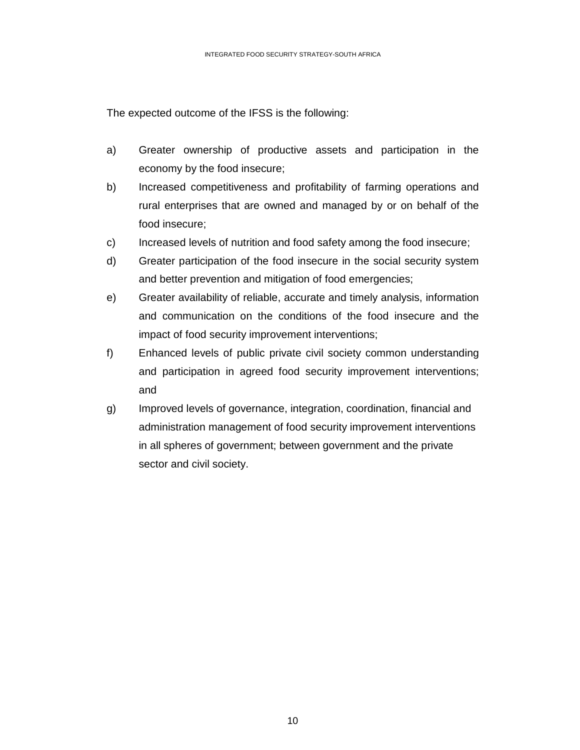The expected outcome of the IFSS is the following:

- a) Greater ownership of productive assets and participation in the economy by the food insecure;
- b) Increased competitiveness and profitability of farming operations and rural enterprises that are owned and managed by or on behalf of the food insecure;
- c) Increased levels of nutrition and food safety among the food insecure;
- d) Greater participation of the food insecure in the social security system and better prevention and mitigation of food emergencies;
- e) Greater availability of reliable, accurate and timely analysis, information and communication on the conditions of the food insecure and the impact of food security improvement interventions;
- f) Enhanced levels of public private civil society common understanding and participation in agreed food security improvement interventions; and
- g) Improved levels of governance, integration, coordination, financial and administration management of food security improvement interventions in all spheres of government; between government and the private sector and civil society.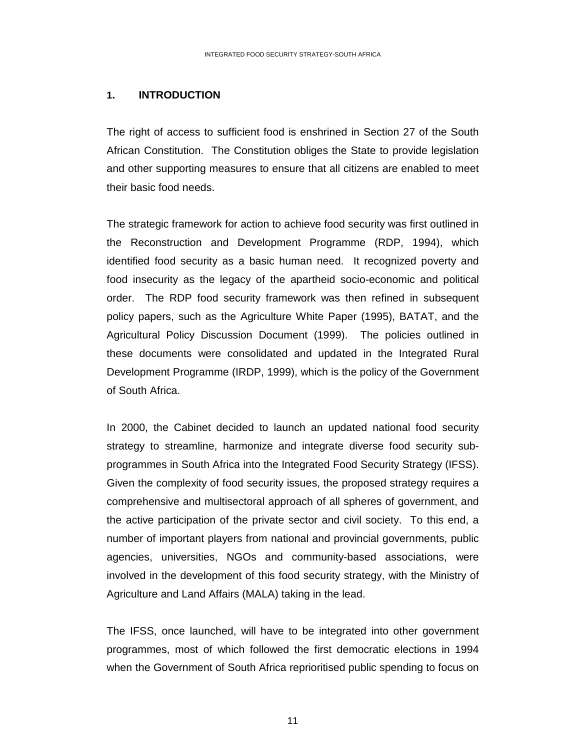### **1. INTRODUCTION**

The right of access to sufficient food is enshrined in Section 27 of the South African Constitution. The Constitution obliges the State to provide legislation and other supporting measures to ensure that all citizens are enabled to meet their basic food needs.

The strategic framework for action to achieve food security was first outlined in the Reconstruction and Development Programme (RDP, 1994), which identified food security as a basic human need. It recognized poverty and food insecurity as the legacy of the apartheid socio-economic and political order. The RDP food security framework was then refined in subsequent policy papers, such as the Agriculture White Paper (1995), BATAT, and the Agricultural Policy Discussion Document (1999). The policies outlined in these documents were consolidated and updated in the Integrated Rural Development Programme (IRDP, 1999), which is the policy of the Government of South Africa.

In 2000, the Cabinet decided to launch an updated national food security strategy to streamline, harmonize and integrate diverse food security subprogrammes in South Africa into the Integrated Food Security Strategy (IFSS). Given the complexity of food security issues, the proposed strategy requires a comprehensive and multisectoral approach of all spheres of government, and the active participation of the private sector and civil society. To this end, a number of important players from national and provincial governments, public agencies, universities, NGOs and community-based associations, were involved in the development of this food security strategy, with the Ministry of Agriculture and Land Affairs (MALA) taking in the lead.

The IFSS, once launched, will have to be integrated into other government programmes, most of which followed the first democratic elections in 1994 when the Government of South Africa reprioritised public spending to focus on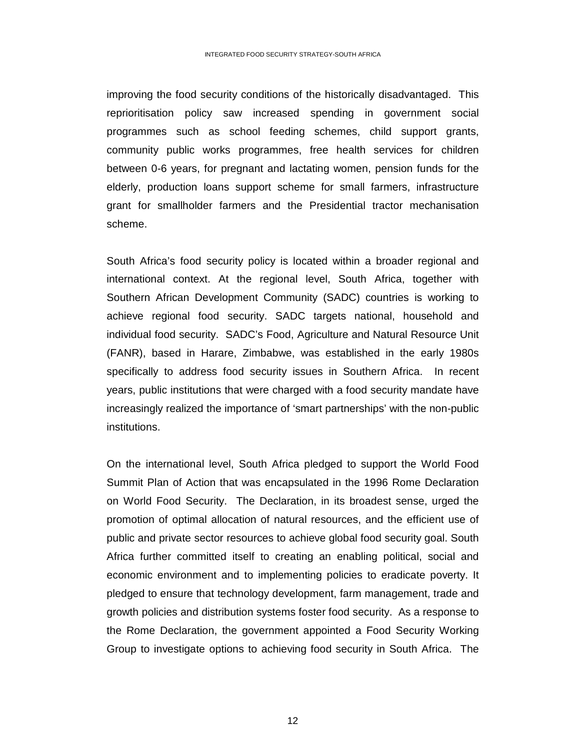improving the food security conditions of the historically disadvantaged. This reprioritisation policy saw increased spending in government social programmes such as school feeding schemes, child support grants, community public works programmes, free health services for children between 0-6 years, for pregnant and lactating women, pension funds for the elderly, production loans support scheme for small farmers, infrastructure grant for smallholder farmers and the Presidential tractor mechanisation scheme.

South Africa's food security policy is located within a broader regional and international context. At the regional level, South Africa, together with Southern African Development Community (SADC) countries is working to achieve regional food security. SADC targets national, household and individual food security. SADC's Food, Agriculture and Natural Resource Unit (FANR), based in Harare, Zimbabwe, was established in the early 1980s specifically to address food security issues in Southern Africa. In recent years, public institutions that were charged with a food security mandate have increasingly realized the importance of 'smart partnerships' with the non-public institutions.

On the international level, South Africa pledged to support the World Food Summit Plan of Action that was encapsulated in the 1996 Rome Declaration on World Food Security. The Declaration, in its broadest sense, urged the promotion of optimal allocation of natural resources, and the efficient use of public and private sector resources to achieve global food security goal. South Africa further committed itself to creating an enabling political, social and economic environment and to implementing policies to eradicate poverty. It pledged to ensure that technology development, farm management, trade and growth policies and distribution systems foster food security. As a response to the Rome Declaration, the government appointed a Food Security Working Group to investigate options to achieving food security in South Africa. The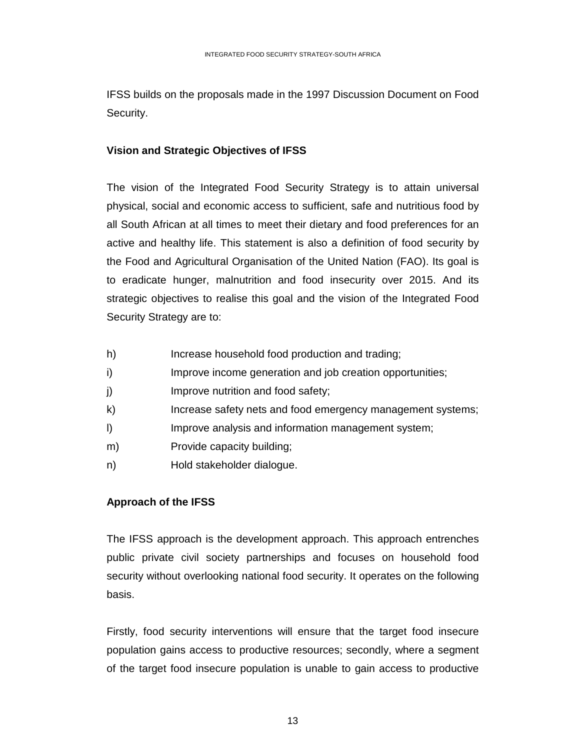IFSS builds on the proposals made in the 1997 Discussion Document on Food Security.

## **Vision and Strategic Objectives of IFSS**

The vision of the Integrated Food Security Strategy is to attain universal physical, social and economic access to sufficient, safe and nutritious food by all South African at all times to meet their dietary and food preferences for an active and healthy life. This statement is also a definition of food security by the Food and Agricultural Organisation of the United Nation (FAO). Its goal is to eradicate hunger, malnutrition and food insecurity over 2015. And its strategic objectives to realise this goal and the vision of the Integrated Food Security Strategy are to:

- h) Increase household food production and trading;
- i) Improve income generation and job creation opportunities;
- j) Improve nutrition and food safety;
- k) Increase safety nets and food emergency management systems;
- l) Improve analysis and information management system;
- m) Provide capacity building;
- n) Hold stakeholder dialogue.

## **Approach of the IFSS**

The IFSS approach is the development approach. This approach entrenches public private civil society partnerships and focuses on household food security without overlooking national food security. It operates on the following basis.

Firstly, food security interventions will ensure that the target food insecure population gains access to productive resources; secondly, where a segment of the target food insecure population is unable to gain access to productive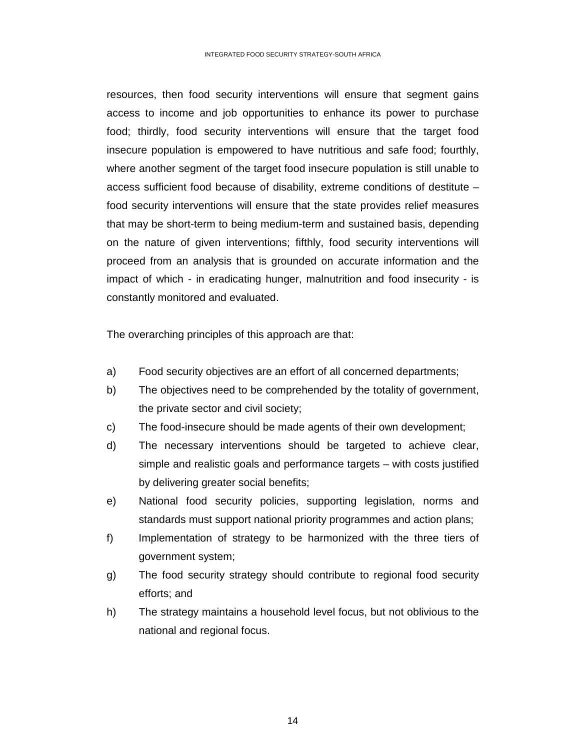resources, then food security interventions will ensure that segment gains access to income and job opportunities to enhance its power to purchase food; thirdly, food security interventions will ensure that the target food insecure population is empowered to have nutritious and safe food; fourthly, where another segment of the target food insecure population is still unable to access sufficient food because of disability, extreme conditions of destitute – food security interventions will ensure that the state provides relief measures that may be short-term to being medium-term and sustained basis, depending on the nature of given interventions; fifthly, food security interventions will proceed from an analysis that is grounded on accurate information and the impact of which - in eradicating hunger, malnutrition and food insecurity - is constantly monitored and evaluated.

The overarching principles of this approach are that:

- a) Food security objectives are an effort of all concerned departments;
- b) The objectives need to be comprehended by the totality of government, the private sector and civil society;
- c) The food-insecure should be made agents of their own development;
- d) The necessary interventions should be targeted to achieve clear, simple and realistic goals and performance targets – with costs justified by delivering greater social benefits;
- e) National food security policies, supporting legislation, norms and standards must support national priority programmes and action plans;
- f) Implementation of strategy to be harmonized with the three tiers of government system;
- g) The food security strategy should contribute to regional food security efforts; and
- h) The strategy maintains a household level focus, but not oblivious to the national and regional focus.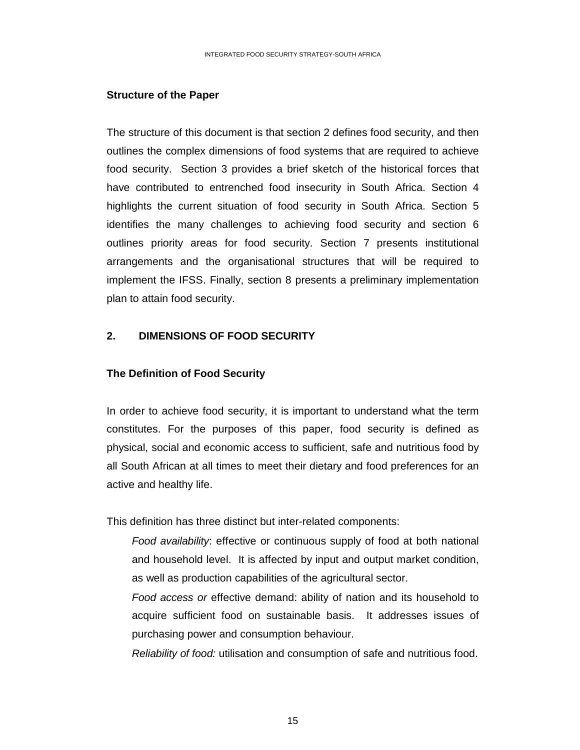#### **Structure of the Paper**

The structure of this document is that section 2 defines food security, and then outlines the complex dimensions of food systems that are required to achieve food security. Section 3 provides a brief sketch of the historical forces that have contributed to entrenched food insecurity in South Africa. Section 4 highlights the current situation of food security in South Africa. Section 5 identifies the many challenges to achieving food security and section 6 outlines priority areas for food security. Section 7 presents institutional arrangements and the organisational structures that will be required to implement the IFSS. Finally, section 8 presents a preliminary implementation plan to attain food security.

### **2. DIMENSIONS OF FOOD SECURITY**

### **The Definition of Food Security**

In order to achieve food security, it is important to understand what the term constitutes. For the purposes of this paper, food security is defined as physical, social and economic access to sufficient, safe and nutritious food by all South African at all times to meet their dietary and food preferences for an active and healthy life.

This definition has three distinct but inter-related components:

 *Food availability*: effective or continuous supply of food at both national and household level. It is affected by input and output market condition, as well as production capabilities of the agricultural sector.

*Food access or* effective demand: ability of nation and its household to acquire sufficient food on sustainable basis. It addresses issues of purchasing power and consumption behaviour.

*Reliability of food:* utilisation and consumption of safe and nutritious food.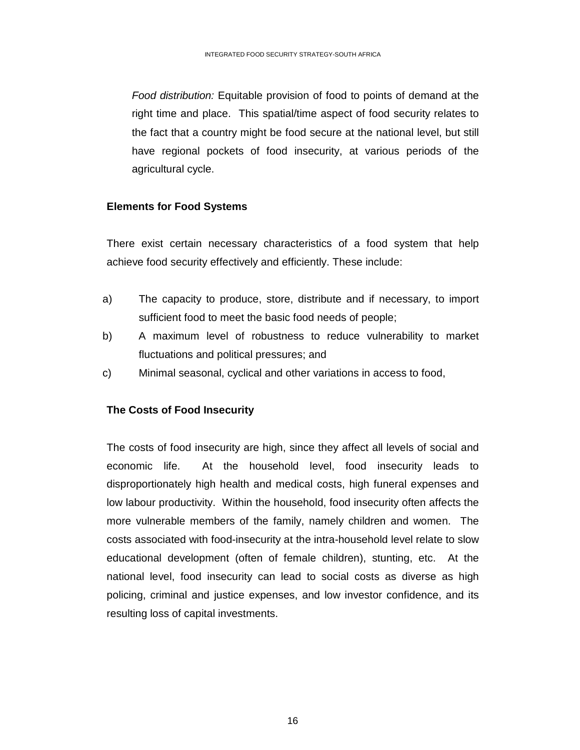*Food distribution:* Equitable provision of food to points of demand at the right time and place. This spatial/time aspect of food security relates to the fact that a country might be food secure at the national level, but still have regional pockets of food insecurity, at various periods of the agricultural cycle.

## **Elements for Food Systems**

There exist certain necessary characteristics of a food system that help achieve food security effectively and efficiently. These include:

- a) The capacity to produce, store, distribute and if necessary, to import sufficient food to meet the basic food needs of people;
- b) A maximum level of robustness to reduce vulnerability to market fluctuations and political pressures; and
- c) Minimal seasonal, cyclical and other variations in access to food,

## **The Costs of Food Insecurity**

The costs of food insecurity are high, since they affect all levels of social and economic life. At the household level, food insecurity leads to disproportionately high health and medical costs, high funeral expenses and low labour productivity. Within the household, food insecurity often affects the more vulnerable members of the family, namely children and women. The costs associated with food-insecurity at the intra-household level relate to slow educational development (often of female children), stunting, etc. At the national level, food insecurity can lead to social costs as diverse as high policing, criminal and justice expenses, and low investor confidence, and its resulting loss of capital investments.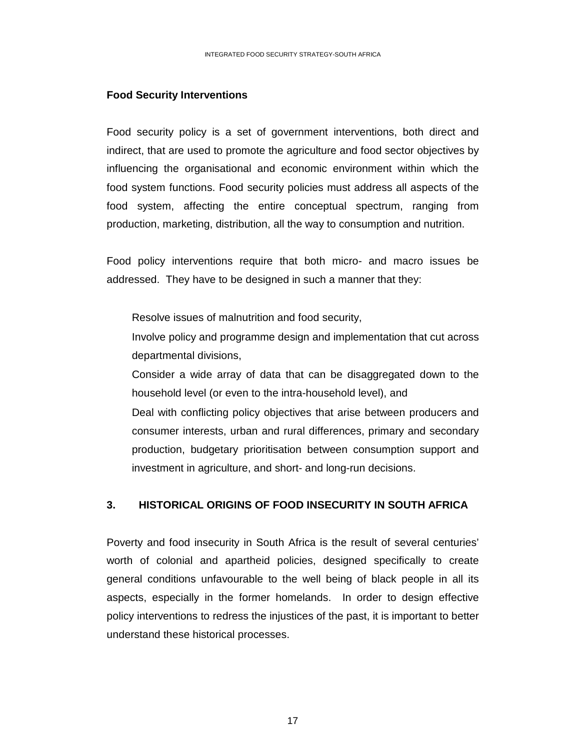#### **Food Security Interventions**

Food security policy is a set of government interventions, both direct and indirect, that are used to promote the agriculture and food sector objectives by influencing the organisational and economic environment within which the food system functions. Food security policies must address all aspects of the food system, affecting the entire conceptual spectrum, ranging from production, marketing, distribution, all the way to consumption and nutrition.

Food policy interventions require that both micro- and macro issues be addressed. They have to be designed in such a manner that they:

Resolve issues of malnutrition and food security,

Involve policy and programme design and implementation that cut across departmental divisions,

Consider a wide array of data that can be disaggregated down to the household level (or even to the intra-household level), and

Deal with conflicting policy objectives that arise between producers and consumer interests, urban and rural differences, primary and secondary production, budgetary prioritisation between consumption support and investment in agriculture, and short- and long-run decisions.

### **3. HISTORICAL ORIGINS OF FOOD INSECURITY IN SOUTH AFRICA**

Poverty and food insecurity in South Africa is the result of several centuries' worth of colonial and apartheid policies, designed specifically to create general conditions unfavourable to the well being of black people in all its aspects, especially in the former homelands. In order to design effective policy interventions to redress the injustices of the past, it is important to better understand these historical processes.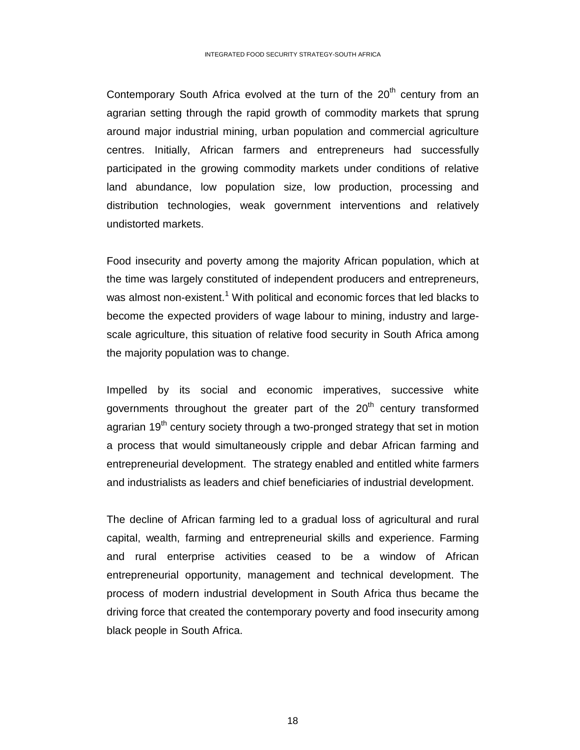Contemporary South Africa evolved at the turn of the  $20<sup>th</sup>$  century from an agrarian setting through the rapid growth of commodity markets that sprung around major industrial mining, urban population and commercial agriculture centres. Initially, African farmers and entrepreneurs had successfully participated in the growing commodity markets under conditions of relative land abundance, low population size, low production, processing and distribution technologies, weak government interventions and relatively undistorted markets.

Food insecurity and poverty among the majority African population, which at the time was largely constituted of independent producers and entrepreneurs, was almost non-existent.<sup>1</sup> With political and economic forces that led blacks to become the expected providers of wage labour to mining, industry and largescale agriculture, this situation of relative food security in South Africa among the majority population was to change.

Impelled by its social and economic imperatives, successive white governments throughout the greater part of the  $20<sup>th</sup>$  century transformed agrarian  $19<sup>th</sup>$  century society through a two-pronged strategy that set in motion a process that would simultaneously cripple and debar African farming and entrepreneurial development. The strategy enabled and entitled white farmers and industrialists as leaders and chief beneficiaries of industrial development.

The decline of African farming led to a gradual loss of agricultural and rural capital, wealth, farming and entrepreneurial skills and experience. Farming and rural enterprise activities ceased to be a window of African entrepreneurial opportunity, management and technical development. The process of modern industrial development in South Africa thus became the driving force that created the contemporary poverty and food insecurity among black people in South Africa.

the contract of the contract of the contract of the contract of the contract of the contract of the contract o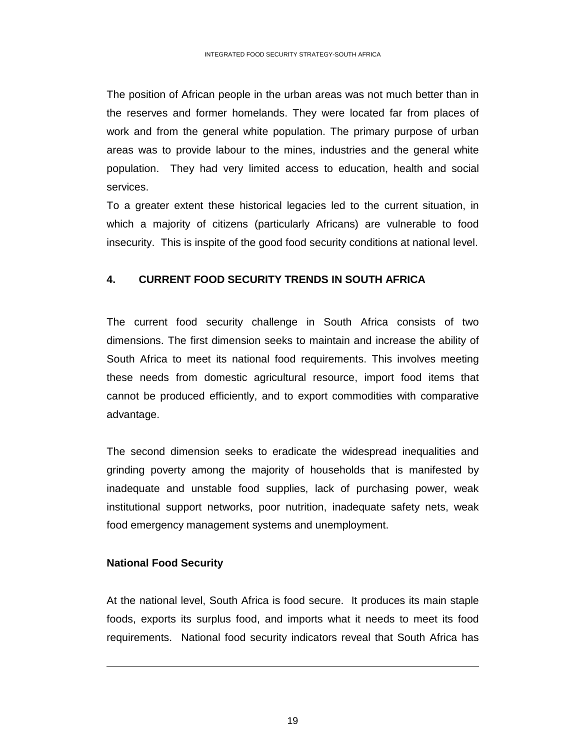The position of African people in the urban areas was not much better than in the reserves and former homelands. They were located far from places of work and from the general white population. The primary purpose of urban areas was to provide labour to the mines, industries and the general white population. They had very limited access to education, health and social services.

To a greater extent these historical legacies led to the current situation, in which a majority of citizens (particularly Africans) are vulnerable to food insecurity. This is inspite of the good food security conditions at national level.

## **4. CURRENT FOOD SECURITY TRENDS IN SOUTH AFRICA**

The current food security challenge in South Africa consists of two dimensions. The first dimension seeks to maintain and increase the ability of South Africa to meet its national food requirements. This involves meeting these needs from domestic agricultural resource, import food items that cannot be produced efficiently, and to export commodities with comparative advantage.

The second dimension seeks to eradicate the widespread inequalities and grinding poverty among the majority of households that is manifested by inadequate and unstable food supplies, lack of purchasing power, weak institutional support networks, poor nutrition, inadequate safety nets, weak food emergency management systems and unemployment.

## **National Food Security**

 $\overline{a}$ 

At the national level, South Africa is food secure. It produces its main staple foods, exports its surplus food, and imports what it needs to meet its food requirements. National food security indicators reveal that South Africa has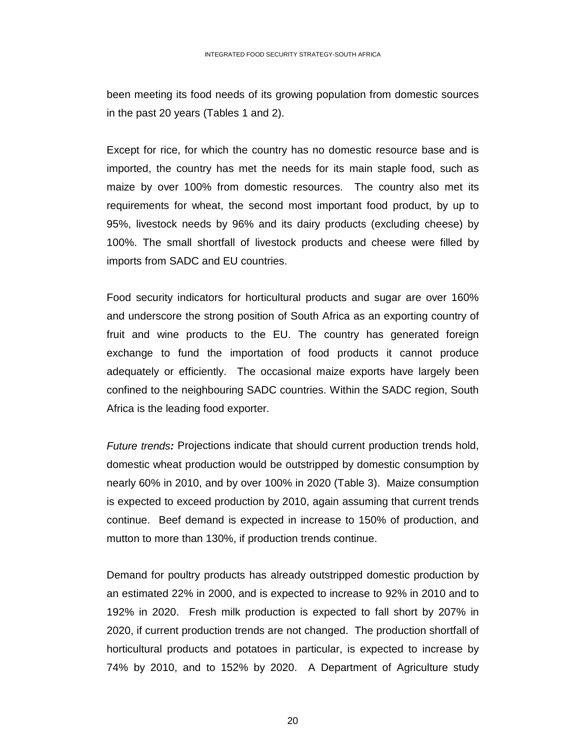been meeting its food needs of its growing population from domestic sources in the past 20 years (Tables 1 and 2).

Except for rice, for which the country has no domestic resource base and is imported, the country has met the needs for its main staple food, such as maize by over 100% from domestic resources. The country also met its requirements for wheat, the second most important food product, by up to 95%, livestock needs by 96% and its dairy products (excluding cheese) by 100%. The small shortfall of livestock products and cheese were filled by imports from SADC and EU countries.

Food security indicators for horticultural products and sugar are over 160% and underscore the strong position of South Africa as an exporting country of fruit and wine products to the EU. The country has generated foreign exchange to fund the importation of food products it cannot produce adequately or efficiently. The occasional maize exports have largely been confined to the neighbouring SADC countries. Within the SADC region, South Africa is the leading food exporter.

*Future trends:* Projections indicate that should current production trends hold, domestic wheat production would be outstripped by domestic consumption by nearly 60% in 2010, and by over 100% in 2020 (Table 3). Maize consumption is expected to exceed production by 2010, again assuming that current trends continue. Beef demand is expected in increase to 150% of production, and mutton to more than 130%, if production trends continue.

Demand for poultry products has already outstripped domestic production by an estimated 22% in 2000, and is expected to increase to 92% in 2010 and to 192% in 2020. Fresh milk production is expected to fall short by 207% in 2020, if current production trends are not changed. The production shortfall of horticultural products and potatoes in particular, is expected to increase by 74% by 2010, and to 152% by 2020. A Department of Agriculture study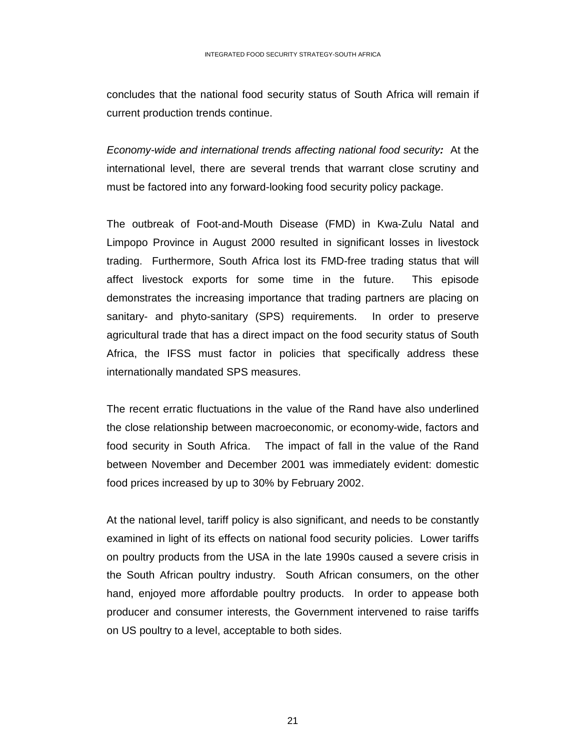concludes that the national food security status of South Africa will remain if current production trends continue.

*Economy-wide and international trends affecting national food security:* At the international level, there are several trends that warrant close scrutiny and must be factored into any forward-looking food security policy package.

The outbreak of Foot-and-Mouth Disease (FMD) in Kwa-Zulu Natal and Limpopo Province in August 2000 resulted in significant losses in livestock trading. Furthermore, South Africa lost its FMD-free trading status that will affect livestock exports for some time in the future. This episode demonstrates the increasing importance that trading partners are placing on sanitary- and phyto-sanitary (SPS) requirements. In order to preserve agricultural trade that has a direct impact on the food security status of South Africa, the IFSS must factor in policies that specifically address these internationally mandated SPS measures.

The recent erratic fluctuations in the value of the Rand have also underlined the close relationship between macroeconomic, or economy-wide, factors and food security in South Africa. The impact of fall in the value of the Rand between November and December 2001 was immediately evident: domestic food prices increased by up to 30% by February 2002.

At the national level, tariff policy is also significant, and needs to be constantly examined in light of its effects on national food security policies. Lower tariffs on poultry products from the USA in the late 1990s caused a severe crisis in the South African poultry industry. South African consumers, on the other hand, enjoyed more affordable poultry products. In order to appease both producer and consumer interests, the Government intervened to raise tariffs on US poultry to a level, acceptable to both sides.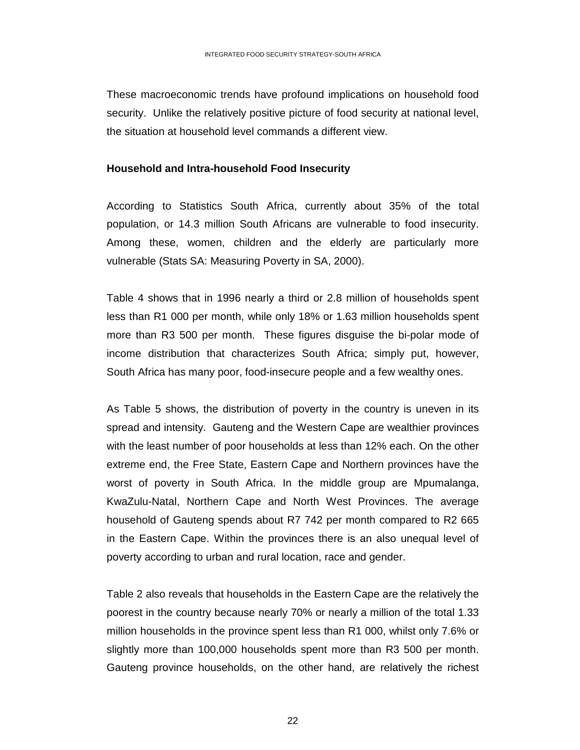These macroeconomic trends have profound implications on household food security. Unlike the relatively positive picture of food security at national level, the situation at household level commands a different view.

#### **Household and Intra-household Food Insecurity**

According to Statistics South Africa, currently about 35% of the total population, or 14.3 million South Africans are vulnerable to food insecurity. Among these, women, children and the elderly are particularly more vulnerable (Stats SA: Measuring Poverty in SA, 2000).

Table 4 shows that in 1996 nearly a third or 2.8 million of households spent less than R1 000 per month, while only 18% or 1.63 million households spent more than R3 500 per month. These figures disguise the bi-polar mode of income distribution that characterizes South Africa; simply put, however, South Africa has many poor, food-insecure people and a few wealthy ones.

As Table 5 shows, the distribution of poverty in the country is uneven in its spread and intensity. Gauteng and the Western Cape are wealthier provinces with the least number of poor households at less than 12% each. On the other extreme end, the Free State, Eastern Cape and Northern provinces have the worst of poverty in South Africa. In the middle group are Mpumalanga, KwaZulu-Natal, Northern Cape and North West Provinces. The average household of Gauteng spends about R7 742 per month compared to R2 665 in the Eastern Cape. Within the provinces there is an also unequal level of poverty according to urban and rural location, race and gender.

Table 2 also reveals that households in the Eastern Cape are the relatively the poorest in the country because nearly 70% or nearly a million of the total 1.33 million households in the province spent less than R1 000, whilst only 7.6% or slightly more than 100,000 households spent more than R3 500 per month. Gauteng province households, on the other hand, are relatively the richest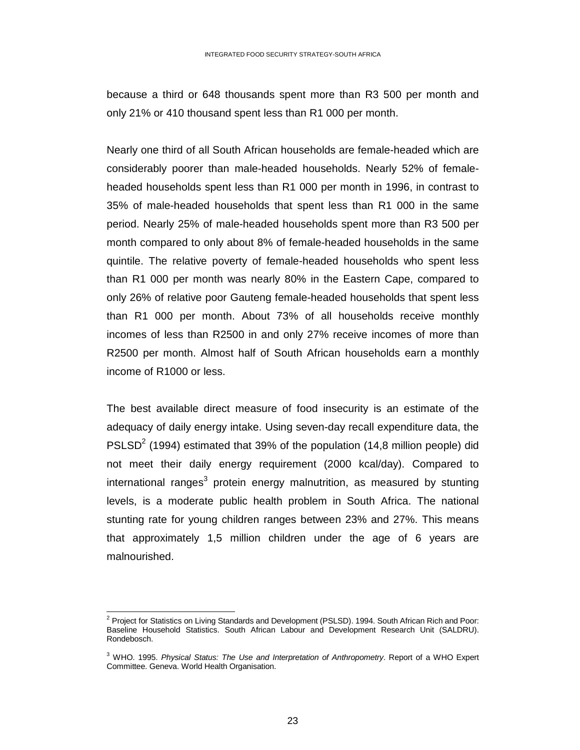because a third or 648 thousands spent more than R3 500 per month and only 21% or 410 thousand spent less than R1 000 per month.

Nearly one third of all South African households are female-headed which are considerably poorer than male-headed households. Nearly 52% of femaleheaded households spent less than R1 000 per month in 1996, in contrast to 35% of male-headed households that spent less than R1 000 in the same period. Nearly 25% of male-headed households spent more than R3 500 per month compared to only about 8% of female-headed households in the same quintile. The relative poverty of female-headed households who spent less than R1 000 per month was nearly 80% in the Eastern Cape, compared to only 26% of relative poor Gauteng female-headed households that spent less than R1 000 per month. About 73% of all households receive monthly incomes of less than R2500 in and only 27% receive incomes of more than R2500 per month. Almost half of South African households earn a monthly income of R1000 or less.

The best available direct measure of food insecurity is an estimate of the adequacy of daily energy intake. Using seven-day recall expenditure data, the PSLSD<sup>2</sup> (1994) estimated that 39% of the population (14,8 million people) did not meet their daily energy requirement (2000 kcal/day). Compared to international ranges<sup>3</sup> protein energy malnutrition, as measured by stunting levels, is a moderate public health problem in South Africa. The national stunting rate for young children ranges between 23% and 27%. This means that approximately 1,5 million children under the age of 6 years are malnourished.

 $\overline{a}$ 

<sup>&</sup>lt;sup>2</sup> Project for Statistics on Living Standards and Development (PSLSD). 1994. South African Rich and Poor: Baseline Household Statistics. South African Labour and Development Research Unit (SALDRU). Rondebosch.

<sup>3</sup> WHO. 1995. *Physical Status: The Use and Interpretation of Anthropometry*. Report of a WHO Expert Committee. Geneva. World Health Organisation.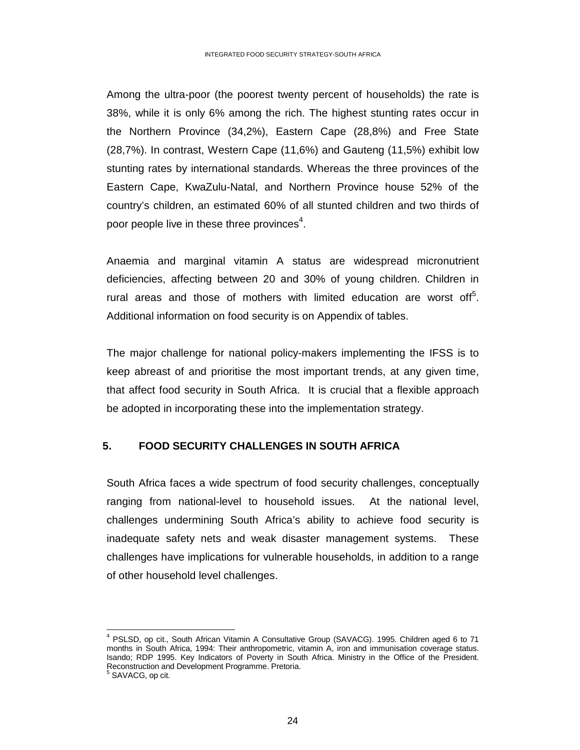Among the ultra-poor (the poorest twenty percent of households) the rate is 38%, while it is only 6% among the rich. The highest stunting rates occur in the Northern Province (34,2%), Eastern Cape (28,8%) and Free State (28,7%). In contrast, Western Cape (11,6%) and Gauteng (11,5%) exhibit low stunting rates by international standards. Whereas the three provinces of the Eastern Cape, KwaZulu-Natal, and Northern Province house 52% of the country's children, an estimated 60% of all stunted children and two thirds of poor people live in these three provinces<sup>4</sup>.

Anaemia and marginal vitamin A status are widespread micronutrient deficiencies, affecting between 20 and 30% of young children. Children in rural areas and those of mothers with limited education are worst off $5$ . Additional information on food security is on Appendix of tables.

The major challenge for national policy-makers implementing the IFSS is to keep abreast of and prioritise the most important trends, at any given time, that affect food security in South Africa. It is crucial that a flexible approach be adopted in incorporating these into the implementation strategy.

## **5. FOOD SECURITY CHALLENGES IN SOUTH AFRICA**

South Africa faces a wide spectrum of food security challenges, conceptually ranging from national-level to household issues. At the national level, challenges undermining South Africa's ability to achieve food security is inadequate safety nets and weak disaster management systems. These challenges have implications for vulnerable households, in addition to a range of other household level challenges.

 $\overline{a}$ 4 PSLSD, op cit., South African Vitamin A Consultative Group (SAVACG). 1995. Children aged 6 to 71 months in South Africa, 1994: Their anthropometric, vitamin A, iron and immunisation coverage status. Isando; RDP 1995. Key Indicators of Poverty in South Africa. Ministry in the Office of the President. Reconstruction and Development Programme. Pretoria. 5 SAVACG, op cit.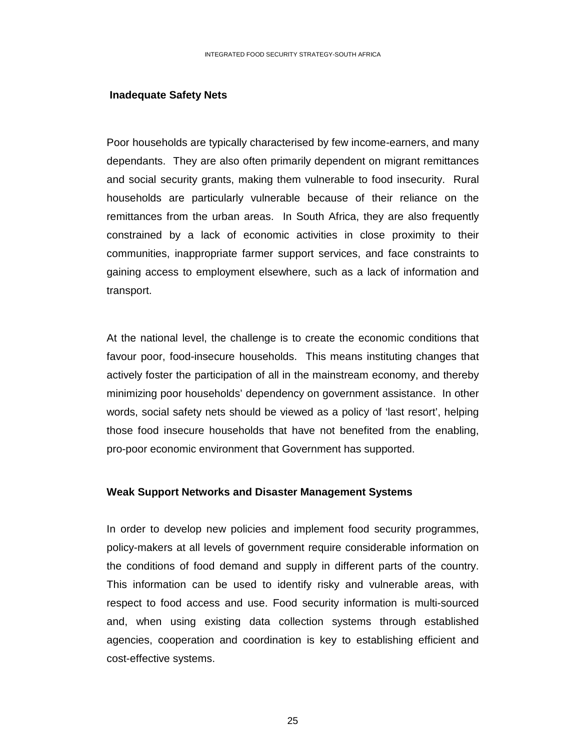#### **Inadequate Safety Nets**

Poor households are typically characterised by few income-earners, and many dependants. They are also often primarily dependent on migrant remittances and social security grants, making them vulnerable to food insecurity. Rural households are particularly vulnerable because of their reliance on the remittances from the urban areas. In South Africa, they are also frequently constrained by a lack of economic activities in close proximity to their communities, inappropriate farmer support services, and face constraints to gaining access to employment elsewhere, such as a lack of information and transport.

At the national level, the challenge is to create the economic conditions that favour poor, food-insecure households. This means instituting changes that actively foster the participation of all in the mainstream economy, and thereby minimizing poor households' dependency on government assistance. In other words, social safety nets should be viewed as a policy of 'last resort', helping those food insecure households that have not benefited from the enabling, pro-poor economic environment that Government has supported.

#### **Weak Support Networks and Disaster Management Systems**

In order to develop new policies and implement food security programmes, policy-makers at all levels of government require considerable information on the conditions of food demand and supply in different parts of the country. This information can be used to identify risky and vulnerable areas, with respect to food access and use. Food security information is multi-sourced and, when using existing data collection systems through established agencies, cooperation and coordination is key to establishing efficient and cost-effective systems.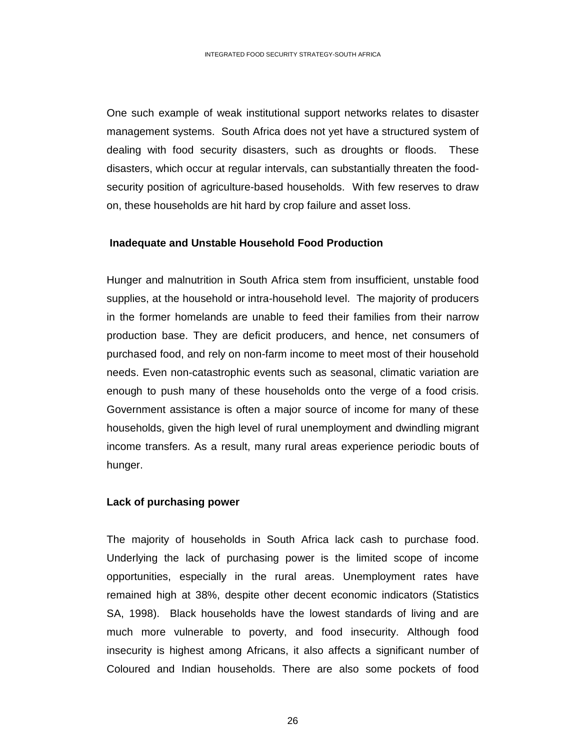One such example of weak institutional support networks relates to disaster management systems. South Africa does not yet have a structured system of dealing with food security disasters, such as droughts or floods. These disasters, which occur at regular intervals, can substantially threaten the foodsecurity position of agriculture-based households. With few reserves to draw on, these households are hit hard by crop failure and asset loss.

### **Inadequate and Unstable Household Food Production**

Hunger and malnutrition in South Africa stem from insufficient, unstable food supplies, at the household or intra-household level. The majority of producers in the former homelands are unable to feed their families from their narrow production base. They are deficit producers, and hence, net consumers of purchased food, and rely on non-farm income to meet most of their household needs. Even non-catastrophic events such as seasonal, climatic variation are enough to push many of these households onto the verge of a food crisis. Government assistance is often a major source of income for many of these households, given the high level of rural unemployment and dwindling migrant income transfers. As a result, many rural areas experience periodic bouts of hunger.

#### **Lack of purchasing power**

The majority of households in South Africa lack cash to purchase food. Underlying the lack of purchasing power is the limited scope of income opportunities, especially in the rural areas. Unemployment rates have remained high at 38%, despite other decent economic indicators (Statistics SA, 1998). Black households have the lowest standards of living and are much more vulnerable to poverty, and food insecurity. Although food insecurity is highest among Africans, it also affects a significant number of Coloured and Indian households. There are also some pockets of food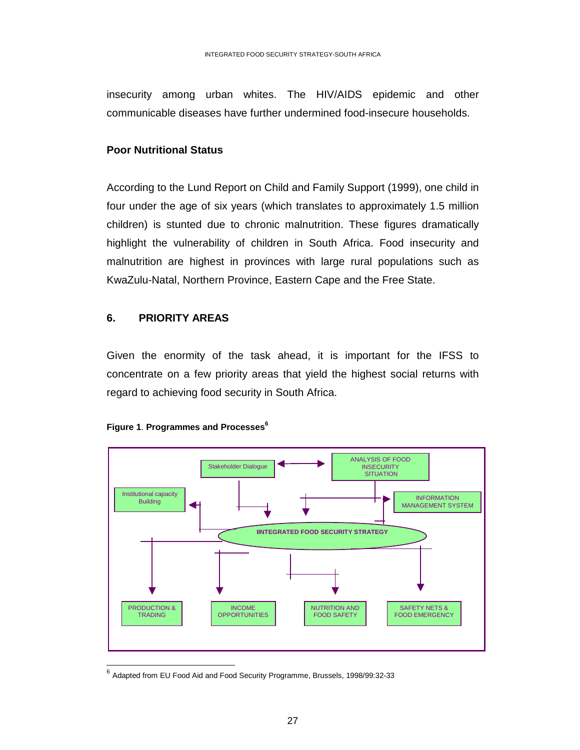insecurity among urban whites. The HIV/AIDS epidemic and other communicable diseases have further undermined food-insecure households.

## **Poor Nutritional Status**

According to the Lund Report on Child and Family Support (1999), one child in four under the age of six years (which translates to approximately 1.5 million children) is stunted due to chronic malnutrition. These figures dramatically highlight the vulnerability of children in South Africa. Food insecurity and malnutrition are highest in provinces with large rural populations such as KwaZulu-Natal, Northern Province, Eastern Cape and the Free State.

## **6. PRIORITY AREAS**

Given the enormity of the task ahead, it is important for the IFSS to concentrate on a few priority areas that yield the highest social returns with regard to achieving food security in South Africa.



#### **Figure 1. Programmes and Processes**<sup>6</sup>

 $^6$  Adapted from EU Food Aid and Food Security Programme, Brussels, 1998/99:32-33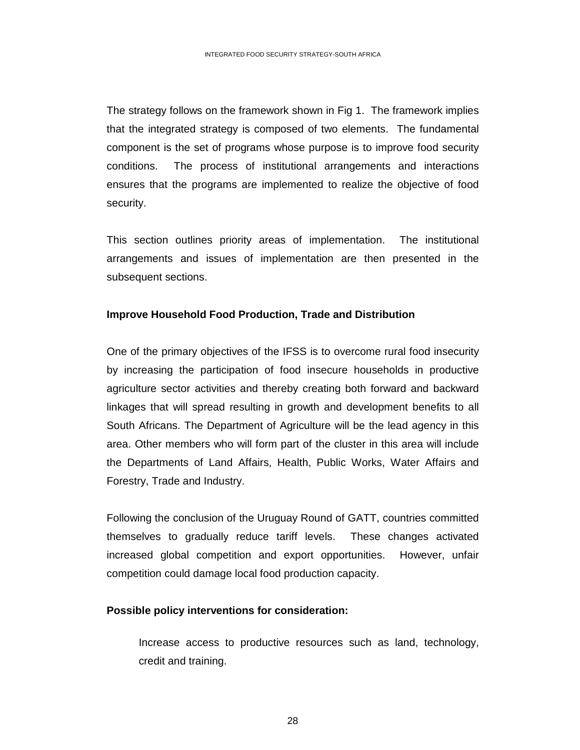The strategy follows on the framework shown in Fig 1. The framework implies that the integrated strategy is composed of two elements. The fundamental component is the set of programs whose purpose is to improve food security conditions. The process of institutional arrangements and interactions ensures that the programs are implemented to realize the objective of food security.

This section outlines priority areas of implementation. The institutional arrangements and issues of implementation are then presented in the subsequent sections.

## **Improve Household Food Production, Trade and Distribution**

One of the primary objectives of the IFSS is to overcome rural food insecurity by increasing the participation of food insecure households in productive agriculture sector activities and thereby creating both forward and backward linkages that will spread resulting in growth and development benefits to all South Africans. The Department of Agriculture will be the lead agency in this area. Other members who will form part of the cluster in this area will include the Departments of Land Affairs, Health, Public Works, Water Affairs and Forestry, Trade and Industry.

Following the conclusion of the Uruguay Round of GATT, countries committed themselves to gradually reduce tariff levels. These changes activated increased global competition and export opportunities. However, unfair competition could damage local food production capacity.

## **Possible policy interventions for consideration:**

 Increase access to productive resources such as land, technology, credit and training.

<u>28 and 28 and 28 and 28 and 28 and 28 and 28 and 28 and 28 and 28 and 28 and 28 and 28 and 28 and 28 and 28 and 28 and 28 and 28 and 28 and 28 and 28 and 28 and 28 and 28 and 28 and 28 and 28 and 28 and 28 and 28 and 28 a</u>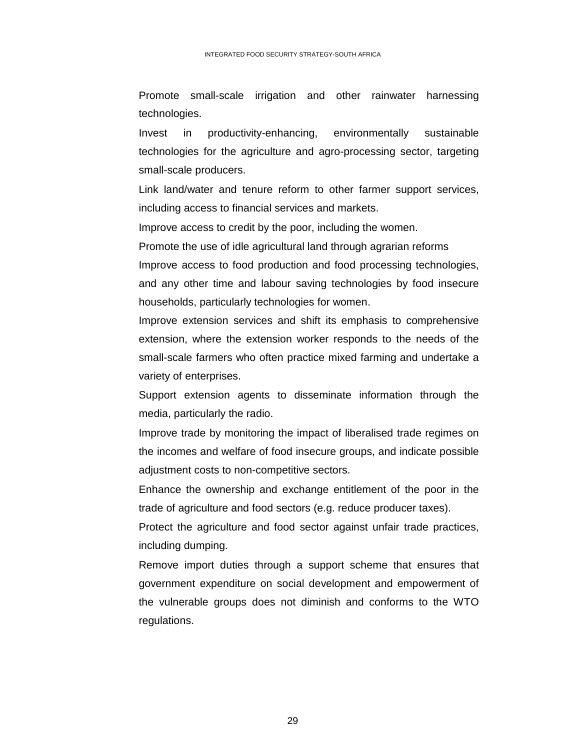Promote small-scale irrigation and other rainwater harnessing technologies.

Invest in productivity-enhancing, environmentally sustainable technologies for the agriculture and agro-processing sector, targeting small-scale producers.

Link land/water and tenure reform to other farmer support services, including access to financial services and markets.

Improve access to credit by the poor, including the women.

Promote the use of idle agricultural land through agrarian reforms Improve access to food production and food processing technologies,

and any other time and labour saving technologies by food insecure households, particularly technologies for women.

Improve extension services and shift its emphasis to comprehensive extension, where the extension worker responds to the needs of the small-scale farmers who often practice mixed farming and undertake a variety of enterprises.

Support extension agents to disseminate information through the media, particularly the radio.

Improve trade by monitoring the impact of liberalised trade regimes on the incomes and welfare of food insecure groups, and indicate possible adjustment costs to non-competitive sectors.

Enhance the ownership and exchange entitlement of the poor in the trade of agriculture and food sectors (e.g. reduce producer taxes).

Protect the agriculture and food sector against unfair trade practices, including dumping.

Remove import duties through a support scheme that ensures that government expenditure on social development and empowerment of the vulnerable groups does not diminish and conforms to the WTO regulations.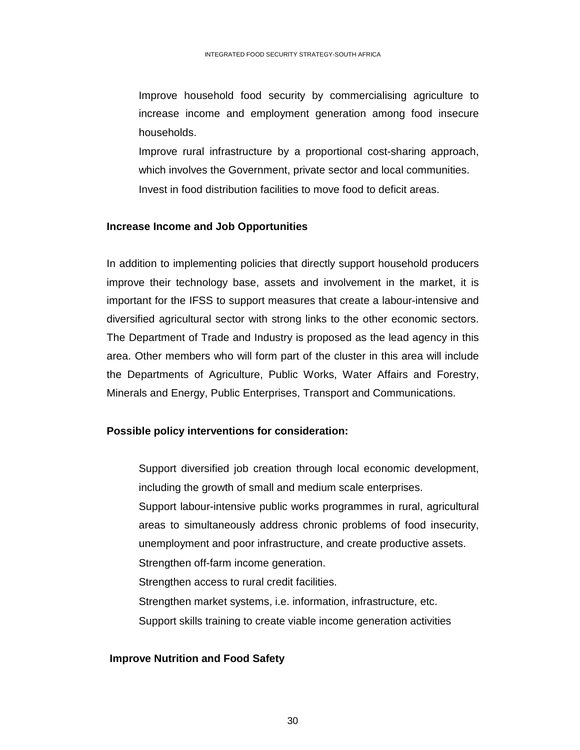Improve household food security by commercialising agriculture to increase income and employment generation among food insecure households.

Improve rural infrastructure by a proportional cost-sharing approach, which involves the Government, private sector and local communities. Invest in food distribution facilities to move food to deficit areas.

### **Increase Income and Job Opportunities**

In addition to implementing policies that directly support household producers improve their technology base, assets and involvement in the market, it is important for the IFSS to support measures that create a labour-intensive and diversified agricultural sector with strong links to the other economic sectors. The Department of Trade and Industry is proposed as the lead agency in this area. Other members who will form part of the cluster in this area will include the Departments of Agriculture, Public Works, Water Affairs and Forestry, Minerals and Energy, Public Enterprises, Transport and Communications.

## **Possible policy interventions for consideration:**

 Support diversified job creation through local economic development, including the growth of small and medium scale enterprises. Support labour-intensive public works programmes in rural, agricultural areas to simultaneously address chronic problems of food insecurity, unemployment and poor infrastructure, and create productive assets. Strengthen off-farm income generation. Strengthen access to rural credit facilities. Strengthen market systems, i.e. information, infrastructure, etc. Support skills training to create viable income generation activities

## **Improve Nutrition and Food Safety**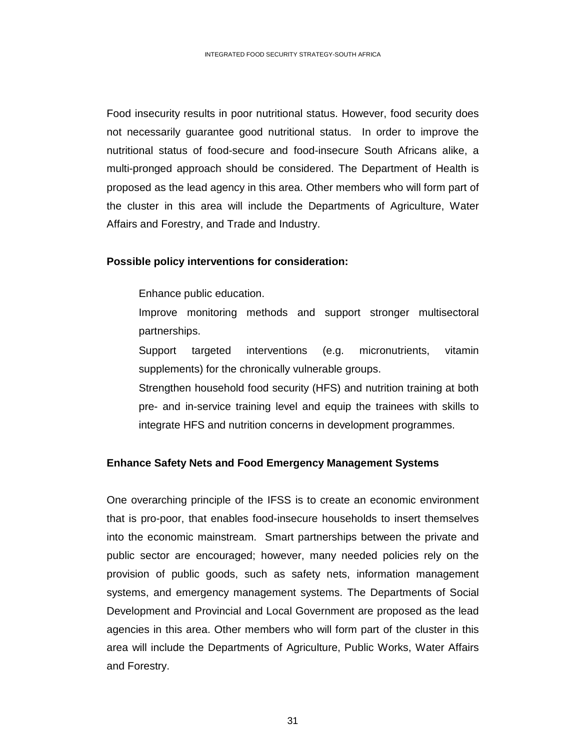Food insecurity results in poor nutritional status. However, food security does not necessarily guarantee good nutritional status. In order to improve the nutritional status of food-secure and food-insecure South Africans alike, a multi-pronged approach should be considered. The Department of Health is proposed as the lead agency in this area. Other members who will form part of the cluster in this area will include the Departments of Agriculture, Water Affairs and Forestry, and Trade and Industry.

### **Possible policy interventions for consideration:**

Enhance public education.

- Improve monitoring methods and support stronger multisectoral partnerships.
- Support targeted interventions (e.g. micronutrients, vitamin supplements) for the chronically vulnerable groups.
- Strengthen household food security (HFS) and nutrition training at both pre- and in-service training level and equip the trainees with skills to integrate HFS and nutrition concerns in development programmes.

### **Enhance Safety Nets and Food Emergency Management Systems**

One overarching principle of the IFSS is to create an economic environment that is pro-poor, that enables food-insecure households to insert themselves into the economic mainstream. Smart partnerships between the private and public sector are encouraged; however, many needed policies rely on the provision of public goods, such as safety nets, information management systems, and emergency management systems. The Departments of Social Development and Provincial and Local Government are proposed as the lead agencies in this area. Other members who will form part of the cluster in this area will include the Departments of Agriculture, Public Works, Water Affairs and Forestry.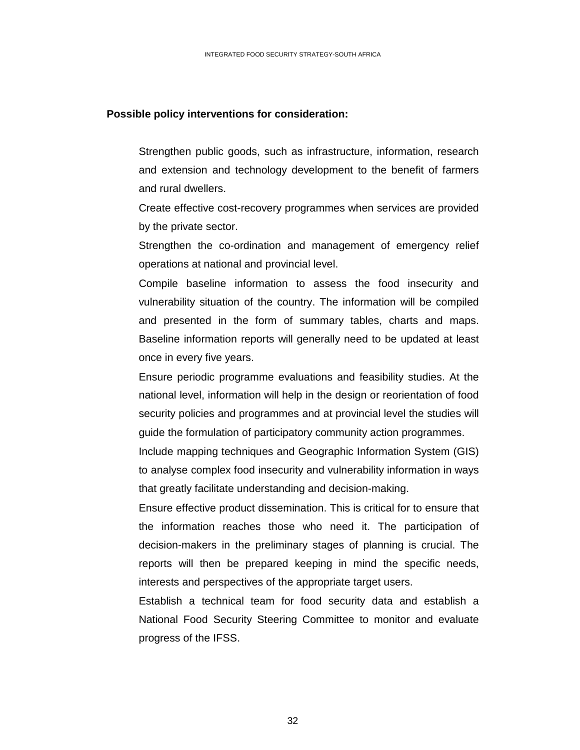### **Possible policy interventions for consideration:**

 Strengthen public goods, such as infrastructure, information, research and extension and technology development to the benefit of farmers and rural dwellers.

Create effective cost-recovery programmes when services are provided by the private sector.

Strengthen the co-ordination and management of emergency relief operations at national and provincial level.

Compile baseline information to assess the food insecurity and vulnerability situation of the country. The information will be compiled and presented in the form of summary tables, charts and maps. Baseline information reports will generally need to be updated at least once in every five years.

 Ensure periodic programme evaluations and feasibility studies. At the national level, information will help in the design or reorientation of food security policies and programmes and at provincial level the studies will guide the formulation of participatory community action programmes.

Include mapping techniques and Geographic Information System (GIS) to analyse complex food insecurity and vulnerability information in ways that greatly facilitate understanding and decision-making.

Ensure effective product dissemination. This is critical for to ensure that the information reaches those who need it. The participation of decision-makers in the preliminary stages of planning is crucial. The reports will then be prepared keeping in mind the specific needs, interests and perspectives of the appropriate target users.

 Establish a technical team for food security data and establish a National Food Security Steering Committee to monitor and evaluate progress of the IFSS.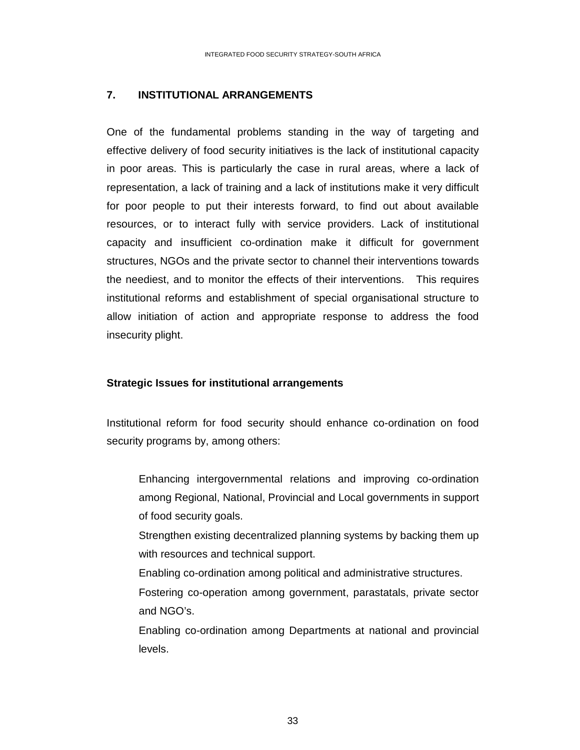### **7. INSTITUTIONAL ARRANGEMENTS**

One of the fundamental problems standing in the way of targeting and effective delivery of food security initiatives is the lack of institutional capacity in poor areas. This is particularly the case in rural areas, where a lack of representation, a lack of training and a lack of institutions make it very difficult for poor people to put their interests forward, to find out about available resources, or to interact fully with service providers. Lack of institutional capacity and insufficient co-ordination make it difficult for government structures, NGOs and the private sector to channel their interventions towards the neediest, and to monitor the effects of their interventions. This requires institutional reforms and establishment of special organisational structure to allow initiation of action and appropriate response to address the food insecurity plight.

### **Strategic Issues for institutional arrangements**

Institutional reform for food security should enhance co-ordination on food security programs by, among others:

 Enhancing intergovernmental relations and improving co-ordination among Regional, National, Provincial and Local governments in support of food security goals.

Strengthen existing decentralized planning systems by backing them up with resources and technical support.

Enabling co-ordination among political and administrative structures.

Fostering co-operation among government, parastatals, private sector and NGO's.

Enabling co-ordination among Departments at national and provincial levels.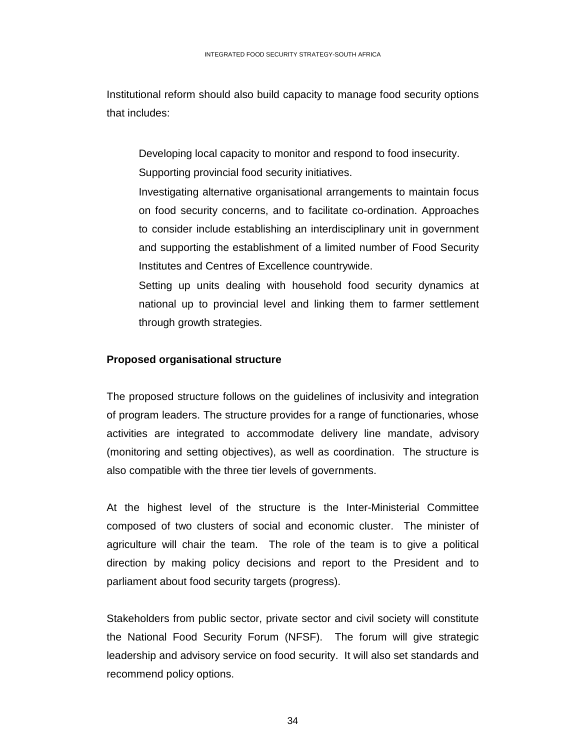Institutional reform should also build capacity to manage food security options that includes:

 Developing local capacity to monitor and respond to food insecurity. Supporting provincial food security initiatives.

Investigating alternative organisational arrangements to maintain focus on food security concerns, and to facilitate co-ordination. Approaches to consider include establishing an interdisciplinary unit in government and supporting the establishment of a limited number of Food Security Institutes and Centres of Excellence countrywide.

 Setting up units dealing with household food security dynamics at national up to provincial level and linking them to farmer settlement through growth strategies.

## **Proposed organisational structure**

The proposed structure follows on the guidelines of inclusivity and integration of program leaders. The structure provides for a range of functionaries, whose activities are integrated to accommodate delivery line mandate, advisory (monitoring and setting objectives), as well as coordination. The structure is also compatible with the three tier levels of governments.

At the highest level of the structure is the Inter-Ministerial Committee composed of two clusters of social and economic cluster. The minister of agriculture will chair the team. The role of the team is to give a political direction by making policy decisions and report to the President and to parliament about food security targets (progress).

Stakeholders from public sector, private sector and civil society will constitute the National Food Security Forum (NFSF). The forum will give strategic leadership and advisory service on food security. It will also set standards and recommend policy options.

 $34$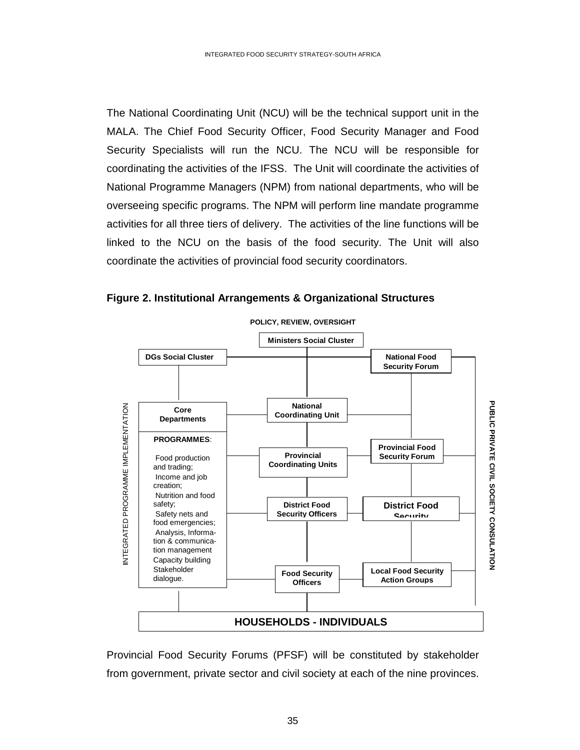The National Coordinating Unit (NCU) will be the technical support unit in the MALA. The Chief Food Security Officer, Food Security Manager and Food Security Specialists will run the NCU. The NCU will be responsible for coordinating the activities of the IFSS. The Unit will coordinate the activities of National Programme Managers (NPM) from national departments, who will be overseeing specific programs. The NPM will perform line mandate programme activities for all three tiers of delivery. The activities of the line functions will be linked to the NCU on the basis of the food security. The Unit will also coordinate the activities of provincial food security coordinators.





Provincial Food Security Forums (PFSF) will be constituted by stakeholder from government, private sector and civil society at each of the nine provinces.

<u>35 and 200 and 200 and 200 and 200 and 200 and 200 and 200 and 200 and 200 and 200 and 200 and 200 and 200 and 200 and 200 and 200 and 200 and 200 and 200 and 200 and 200 and 200 and 200 and 200 and 200 and 200 and 200 an</u>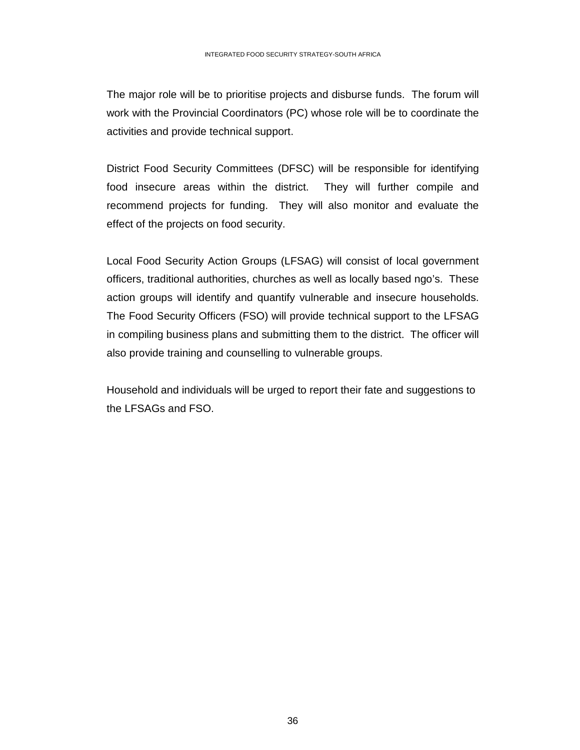The major role will be to prioritise projects and disburse funds. The forum will work with the Provincial Coordinators (PC) whose role will be to coordinate the activities and provide technical support.

District Food Security Committees (DFSC) will be responsible for identifying food insecure areas within the district. They will further compile and recommend projects for funding. They will also monitor and evaluate the effect of the projects on food security.

Local Food Security Action Groups (LFSAG) will consist of local government officers, traditional authorities, churches as well as locally based ngo's. These action groups will identify and quantify vulnerable and insecure households. The Food Security Officers (FSO) will provide technical support to the LFSAG in compiling business plans and submitting them to the district. The officer will also provide training and counselling to vulnerable groups.

Household and individuals will be urged to report their fate and suggestions to the LFSAGs and FSO.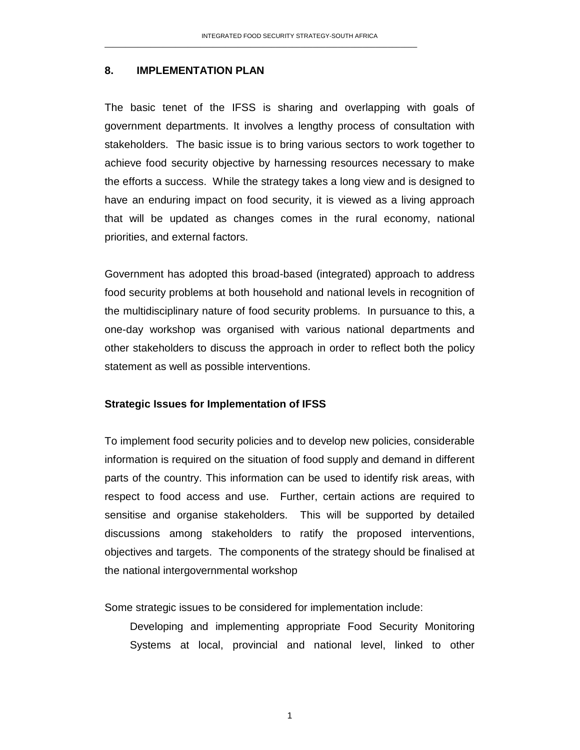### **8. IMPLEMENTATION PLAN**

The basic tenet of the IFSS is sharing and overlapping with goals of government departments. It involves a lengthy process of consultation with stakeholders. The basic issue is to bring various sectors to work together to achieve food security objective by harnessing resources necessary to make the efforts a success. While the strategy takes a long view and is designed to have an enduring impact on food security, it is viewed as a living approach that will be updated as changes comes in the rural economy, national priorities, and external factors.

Government has adopted this broad-based (integrated) approach to address food security problems at both household and national levels in recognition of the multidisciplinary nature of food security problems. In pursuance to this, a one-day workshop was organised with various national departments and other stakeholders to discuss the approach in order to reflect both the policy statement as well as possible interventions.

#### **Strategic Issues for Implementation of IFSS**

To implement food security policies and to develop new policies, considerable information is required on the situation of food supply and demand in different parts of the country. This information can be used to identify risk areas, with respect to food access and use. Further, certain actions are required to sensitise and organise stakeholders. This will be supported by detailed discussions among stakeholders to ratify the proposed interventions, objectives and targets. The components of the strategy should be finalised at the national intergovernmental workshop

Some strategic issues to be considered for implementation include:

 Developing and implementing appropriate Food Security Monitoring Systems at local, provincial and national level, linked to other

1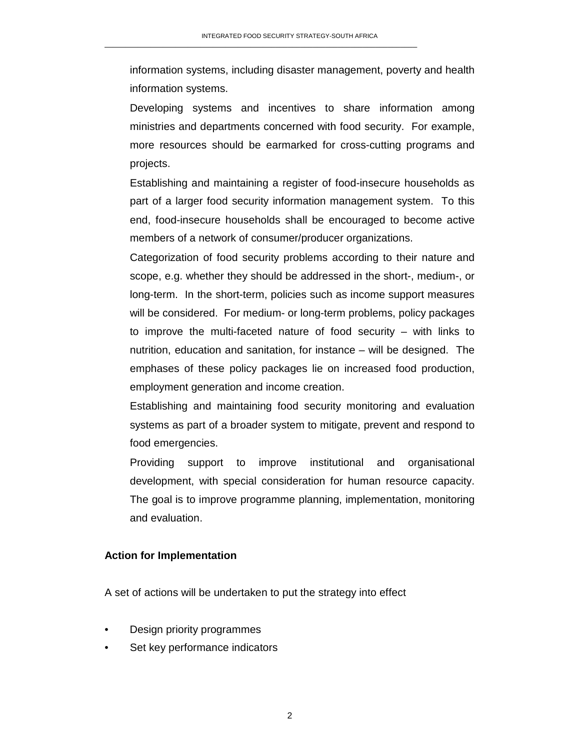information systems, including disaster management, poverty and health information systems.

 Developing systems and incentives to share information among ministries and departments concerned with food security. For example, more resources should be earmarked for cross-cutting programs and projects.

Establishing and maintaining a register of food-insecure households as part of a larger food security information management system. To this end, food-insecure households shall be encouraged to become active members of a network of consumer/producer organizations.

Categorization of food security problems according to their nature and scope, e.g. whether they should be addressed in the short-, medium-, or long-term. In the short-term, policies such as income support measures will be considered. For medium- or long-term problems, policy packages to improve the multi-faceted nature of food security – with links to nutrition, education and sanitation, for instance – will be designed. The emphases of these policy packages lie on increased food production, employment generation and income creation.

 Establishing and maintaining food security monitoring and evaluation systems as part of a broader system to mitigate, prevent and respond to food emergencies.

Providing support to improve institutional and organisational development, with special consideration for human resource capacity. The goal is to improve programme planning, implementation, monitoring and evaluation.

### **Action for Implementation**

A set of actions will be undertaken to put the strategy into effect

- Design priority programmes
- Set key performance indicators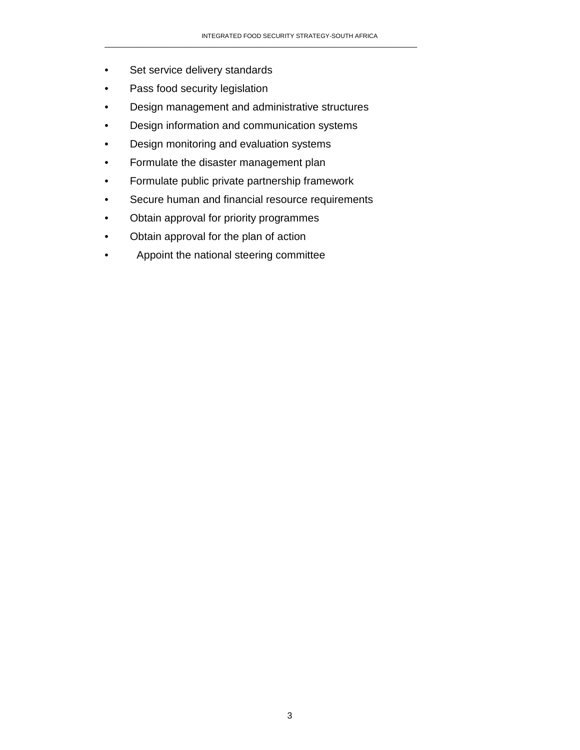- Set service delivery standards
- Pass food security legislation
- Design management and administrative structures
- Design information and communication systems
- Design monitoring and evaluation systems
- Formulate the disaster management plan
- Formulate public private partnership framework
- Secure human and financial resource requirements
- Obtain approval for priority programmes
- Obtain approval for the plan of action
- Appoint the national steering committee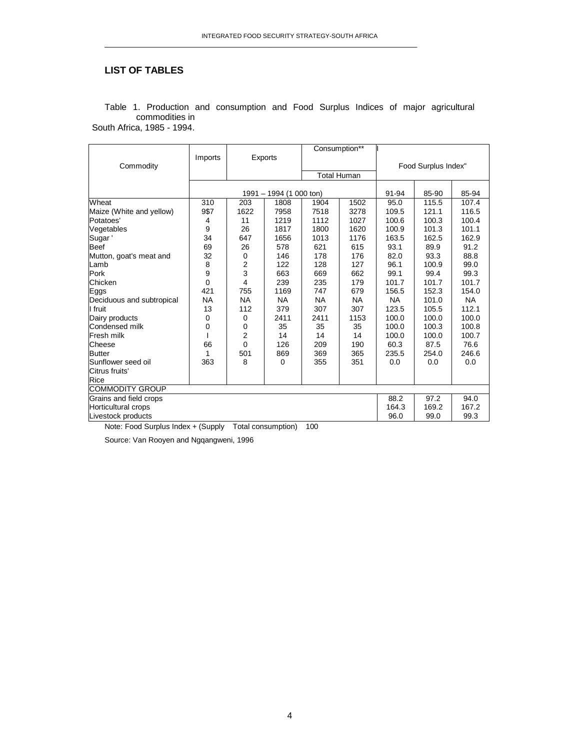### **LIST OF TABLES**

|                           |           | Exports        |                         | Consumption**      |           |                     |       |           |  |
|---------------------------|-----------|----------------|-------------------------|--------------------|-----------|---------------------|-------|-----------|--|
|                           | Imports   |                |                         |                    |           |                     |       |           |  |
| Commodity                 |           |                |                         |                    |           | Food Surplus Index" |       |           |  |
|                           |           |                |                         | <b>Total Human</b> |           |                     |       |           |  |
|                           |           |                |                         |                    |           |                     |       |           |  |
|                           |           |                | 1991 - 1994 (1 000 ton) |                    |           | 91-94               | 85-90 | 85-94     |  |
| Wheat                     | 310       | 203            | 1808                    | 1904               | 1502      | 95.0                | 115.5 | 107.4     |  |
| Maize (White and yellow)  | 9\$7      | 1622           | 7958                    | 7518               | 3278      | 109.5               | 121.1 | 116.5     |  |
| Potatoes'                 | 4         | 11             | 1219                    | 1112               | 1027      | 100.6               | 100.3 | 100.4     |  |
| Vegetables                | 9         | 26             | 1817                    | 1800               | 1620      | 100.9               | 101.3 | 101.1     |  |
| Sugar'                    | 34        | 647            | 1656                    | 1013               | 1176      | 163.5               | 162.5 | 162.9     |  |
| <b>Beef</b>               | 69        | 26             | 578                     | 621                | 615       | 93.1                | 89.9  | 91.2      |  |
| Mutton, goat's meat and   | 32        | 0              | 146                     | 178                | 176       | 82.0                | 93.3  | 88.8      |  |
| Lamb                      | 8         | 2              | 122                     | 128                | 127       | 96.1                | 100.9 | 99.0      |  |
| Pork                      | 9         | 3              | 663                     | 669                | 662       | 99.1                | 99.4  | 99.3      |  |
| Chicken                   | 0         | 4              | 239                     | 235                | 179       | 101.7               | 101.7 | 101.7     |  |
| Eggs                      | 421       | 755            | 1169                    | 747                | 679       | 156.5               | 152.3 | 154.0     |  |
| Deciduous and subtropical | <b>NA</b> | <b>NA</b>      | <b>NA</b>               | <b>NA</b>          | <b>NA</b> | <b>NA</b>           | 101.0 | <b>NA</b> |  |
| I fruit                   | 13        | 112            | 379                     | 307                | 307       | 123.5               | 105.5 | 112.1     |  |
| Dairy products            | 0         | 0              | 2411                    | 2411               | 1153      | 100.0               | 100.0 | 100.0     |  |
| Condensed milk            | 0         | 0              | 35                      | 35                 | 35        | 100.0               | 100.3 | 100.8     |  |
| Fresh milk                |           | $\overline{2}$ | 14                      | 14                 | 14        | 100.0               | 100.0 | 100.7     |  |
| Cheese                    | 66        | 0              | 126                     | 209                | 190       | 60.3                | 87.5  | 76.6      |  |
| <b>Butter</b>             | 1         | 501            | 869                     | 369                | 365       | 235.5               | 254.0 | 246.6     |  |
| Sunflower seed oil        | 363       | 8              | $\mathbf 0$             | 355                | 351       | 0.0                 | 0.0   | 0.0       |  |
| Citrus fruits'            |           |                |                         |                    |           |                     |       |           |  |
| Rice                      |           |                |                         |                    |           |                     |       |           |  |
| <b>COMMODITY GROUP</b>    |           |                |                         |                    |           |                     |       |           |  |
| Grains and field crops    |           |                |                         |                    |           | 88.2                | 97.2  | 94.0      |  |
| Horticultural crops       |           |                |                         |                    |           |                     | 169.2 | 167.2     |  |
| Livestock products        | 96.0      | 99.0           | 99.3                    |                    |           |                     |       |           |  |

Table 1. Production and consumption and Food Surplus Indices of major agricultural commodities in South Africa, 1985 - 1994.

Note: Food Surplus Index + (Supply Total consumption) 100

Source: Van Rooyen and Ngqangweni, 1996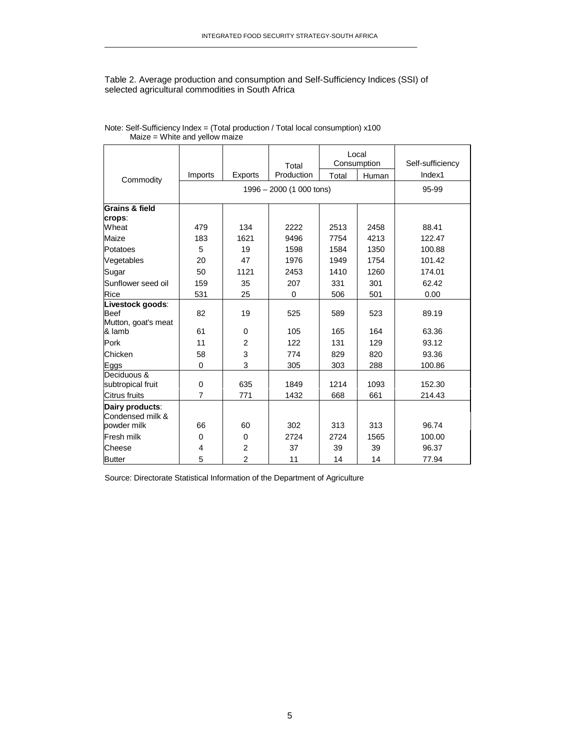#### Table 2. Average production and consumption and Self-Sufficiency Indices (SSI) of selected agricultural commodities in South Africa

\_\_\_\_\_\_\_\_\_\_\_\_\_\_\_\_\_\_\_\_\_\_\_\_\_\_\_\_\_\_\_\_\_\_\_\_\_\_\_\_\_\_\_\_\_\_\_\_\_\_\_\_\_\_\_\_\_\_\_\_\_\_\_\_\_\_\_\_\_\_\_\_\_\_\_

|                                                                  |                               |                          | Total        | Local<br>Consumption |             | Self-sufficiency |  |  |
|------------------------------------------------------------------|-------------------------------|--------------------------|--------------|----------------------|-------------|------------------|--|--|
| Commodity                                                        | Imports                       | <b>Exports</b>           | Production   | Total                | Human       | Index1           |  |  |
|                                                                  |                               | 1996 - 2000 (1 000 tons) |              |                      |             |                  |  |  |
| Grains & field<br>crops:                                         |                               |                          |              |                      |             |                  |  |  |
| Wheat                                                            | 479                           | 134                      | 2222         | 2513                 | 2458        | 88.41            |  |  |
| Maize                                                            | 183                           | 1621                     | 9496         | 7754                 | 4213        | 122.47           |  |  |
| Potatoes                                                         | 5                             | 19                       | 1598         | 1584                 | 1350        | 100.88           |  |  |
| Vegetables                                                       | 20                            | 47                       | 1976         | 1949                 | 1754        | 101.42           |  |  |
| Sugar                                                            | 50                            | 1121                     | 2453         | 1410                 | 1260        | 174.01           |  |  |
| Sunflower seed oil                                               | 159                           | 35                       | 207          | 331                  | 301         | 62.42            |  |  |
| Rice                                                             | 531                           | 25                       | $\mathbf 0$  | 506                  | 501         | 0.00             |  |  |
| Livestock goods:<br><b>Beef</b><br>Mutton, goat's meat<br>& lamb | 82<br>61                      | 19<br>$\Omega$           | 525<br>105   | 589<br>165           | 523<br>164  | 89.19<br>63.36   |  |  |
| Pork                                                             | 11                            | $\overline{2}$           | 122          | 131                  | 129         | 93.12            |  |  |
| Chicken                                                          | 58                            | 3                        | 774          | 829                  | 820         | 93.36            |  |  |
| Eggs                                                             | $\mathbf 0$                   | 3                        | 305          | 303                  | 288         | 100.86           |  |  |
| Deciduous &<br>subtropical fruit<br>Citrus fruits                | $\mathbf 0$<br>$\overline{7}$ | 635<br>771               | 1849<br>1432 | 1214<br>668          | 1093<br>661 | 152.30<br>214.43 |  |  |
| Dairy products:                                                  |                               |                          |              |                      |             |                  |  |  |
| Condensed milk &<br>powder milk                                  | 66                            | 60                       | 302          | 313                  | 313         | 96.74            |  |  |
| <b>Fresh milk</b>                                                | $\Omega$                      | $\Omega$                 | 2724         | 2724                 | 1565        | 100.00           |  |  |
| Cheese                                                           | $\overline{4}$                | $\overline{2}$           | 37           | 39                   | 39          | 96.37            |  |  |
| <b>Butter</b>                                                    | 5                             | $\overline{2}$           | 11           | 14                   | 14          | 77.94            |  |  |

Note: Self-Sufficiency Index = (Total production / Total local consumption) x100 Maize = White and yellow maize

Source: Directorate Statistical Information of the Department of Agriculture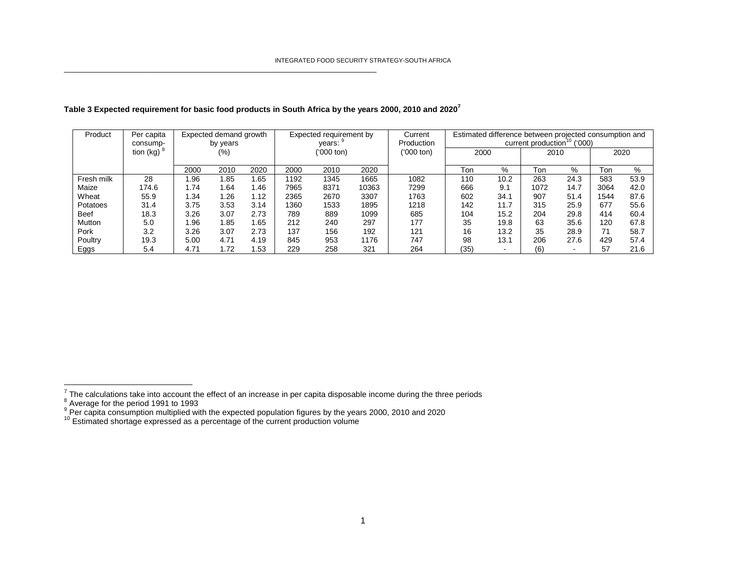| Product     | Per capita<br>consump- | Expected demand growth<br>by years |      |      | Expected requirement by<br>years: |      |            | Current<br>Production | Estimated difference between projected consumption and<br>('000')<br>current production |      |      |      |      |      |
|-------------|------------------------|------------------------------------|------|------|-----------------------------------|------|------------|-----------------------|-----------------------------------------------------------------------------------------|------|------|------|------|------|
|             | tion (kg)              |                                    | (%)  |      | ('000 ton)                        |      | ('000 ton) | 2000                  |                                                                                         | 2010 |      | 2020 |      |      |
|             |                        | 2000                               | 2010 | 2020 | 2000                              | 2010 | 2020       |                       | Ton                                                                                     | %    | Ton  | %    | Ton  | $\%$ |
| Fresh milk  | 28                     | 1.96                               | 1.85 | 1.65 | 1192                              | 1345 | 1665       | 1082                  | 110                                                                                     | 10.2 | 263  | 24.3 | 583  | 53.9 |
| Maize       | 174.6                  | 1.74                               | l.64 | 1.46 | 7965                              | 8371 | 10363      | 7299                  | 666                                                                                     | 9.1  | 1072 | 14.7 | 3064 | 42.0 |
| Wheat       | 55.9                   | 1.34                               | 1.26 | 1.12 | 2365                              | 2670 | 3307       | 1763                  | 602                                                                                     | 34.1 | 907  | 51.4 | 1544 | 87.6 |
| Potatoes    | 31.4                   | 3.75                               | 3.53 | 3.14 | 1360                              | 1533 | 1895       | 1218                  | 142                                                                                     | 11.7 | 315  | 25.9 | 677  | 55.6 |
| <b>Beef</b> | 18.3                   | 3.26                               | 3.07 | 2.73 | 789                               | 889  | 1099       | 685                   | 104                                                                                     | 15.2 | 204  | 29.8 | 414  | 60.4 |
| Mutton      | 5.0                    | 1.96                               | l.85 | 1.65 | 212                               | 240  | 297        | 177                   | 35                                                                                      | 19.8 | 63   | 35.6 | 120  | 67.8 |
| Pork        | 3.2                    | 3.26                               | 3.07 | 2.73 | 137                               | 156  | 192        | 121                   | 16                                                                                      | 13.2 | 35   | 28.9 |      | 58.7 |
| Poultry     | 19.3                   | 5.00                               | 4.71 | 4.19 | 845                               | 953  | 1176       | 747                   | 98                                                                                      | 13.1 | 206  | 27.6 | 429  | 57.4 |
| Eggs        | 5.4                    | 4.71                               | 1.72 | 1.53 | 229                               | 258  | 321        | 264                   | (35)                                                                                    | -    | (6)  |      | 57   | 21.6 |

#### **Table 3 Expected requirement for basic food products in South Africa by the years 2000, 2010 and 2020<sup>7</sup>**

\_\_\_\_\_\_\_\_\_\_\_\_\_\_\_\_\_\_\_\_\_\_\_\_\_\_\_\_\_\_\_\_\_\_\_\_\_\_\_\_\_\_\_\_\_\_\_\_\_\_\_\_\_\_\_\_\_\_\_\_\_\_\_\_\_\_\_\_\_\_\_\_\_\_\_

<sup>7</sup> The calculations take into account the effect of an increase in per capita disposable income during the three periods  $^{8}$  Average for the period 1991 to 1993<br><sup>9</sup> Per capita consumption multiplied with the expected p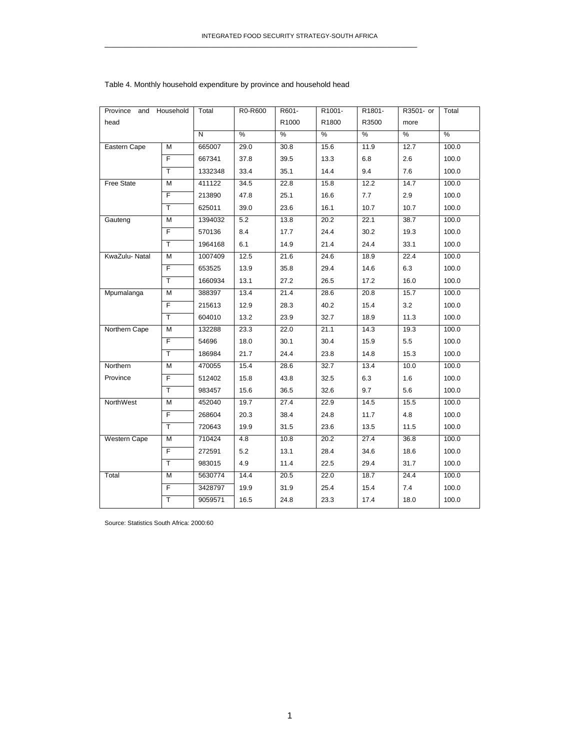| Province            | and Household           | Total   | R0-R600 | R601- | R1001- | R1801- | R3501- or | Total |
|---------------------|-------------------------|---------|---------|-------|--------|--------|-----------|-------|
| head                |                         |         |         | R1000 | R1800  | R3500  | more      |       |
|                     |                         | N       | %       | %     | %      | %      | %         | %     |
| Eastern Cape        | М                       | 665007  | 29.0    | 30.8  | 15.6   | 11.9   | 12.7      | 100.0 |
|                     | $\overline{F}$          | 667341  | 37.8    | 39.5  | 13.3   | 6.8    | 2.6       | 100.0 |
|                     | $\overline{\mathsf{T}}$ | 1332348 | 33.4    | 35.1  | 14.4   | 9.4    | 7.6       | 100.0 |
| <b>Free State</b>   | M                       | 411122  | 34.5    | 22.8  | 15.8   | 12.2   | 14.7      | 100.0 |
|                     | F                       | 213890  | 47.8    | 25.1  | 16.6   | 7.7    | 2.9       | 100.0 |
|                     | T.                      | 625011  | 39.0    | 23.6  | 16.1   | 10.7   | 10.7      | 100.0 |
| Gauteng             | M                       | 1394032 | 5.2     | 13.8  | 20.2   | 22.1   | 38.7      | 100.0 |
|                     | F                       | 570136  | 8.4     | 17.7  | 24.4   | 30.2   | 19.3      | 100.0 |
|                     | T.                      | 1964168 | 6.1     | 14.9  | 21.4   | 24.4   | 33.1      | 100.0 |
| KwaZulu-Natal       | M                       | 1007409 | 12.5    | 21.6  | 24.6   | 18.9   | 22.4      | 100.0 |
|                     | F                       | 653525  | 13.9    | 35.8  | 29.4   | 14.6   | 6.3       | 100.0 |
|                     | $\overline{\mathsf{T}}$ | 1660934 | 13.1    | 27.2  | 26.5   | 17.2   | 16.0      | 100.0 |
| Mpumalanga          | м                       | 388397  | 13.4    | 21.4  | 28.6   | 20.8   | 15.7      | 100.0 |
|                     | F.                      | 215613  | 12.9    | 28.3  | 40.2   | 15.4   | 3.2       | 100.0 |
|                     | $\overline{\mathsf{T}}$ | 604010  | 13.2    | 23.9  | 32.7   | 18.9   | 11.3      | 100.0 |
| Northern Cape       | M                       | 132288  | 23.3    | 22.0  | 21.1   | 14.3   | 19.3      | 100.0 |
|                     | F                       | 54696   | 18.0    | 30.1  | 30.4   | 15.9   | 5.5       | 100.0 |
|                     | T.                      | 186984  | 21.7    | 24.4  | 23.8   | 14.8   | 15.3      | 100.0 |
| Northern            | M                       | 470055  | 15.4    | 28.6  | 32.7   | 13.4   | 10.0      | 100.0 |
| Province            | F                       | 512402  | 15.8    | 43.8  | 32.5   | 6.3    | 1.6       | 100.0 |
|                     | T                       | 983457  | 15.6    | 36.5  | 32.6   | 9.7    | 5.6       | 100.0 |
| NorthWest           | M                       | 452040  | 19.7    | 27.4  | 22.9   | 14.5   | 15.5      | 100.0 |
|                     | F                       | 268604  | 20.3    | 38.4  | 24.8   | 11.7   | 4.8       | 100.0 |
|                     | T                       | 720643  | 19.9    | 31.5  | 23.6   | 13.5   | 11.5      | 100.0 |
| <b>Western Cape</b> | м                       | 710424  | 4.8     | 10.8  | 20.2   | 27.4   | 36.8      | 100.0 |
|                     | F                       | 272591  | 5.2     | 13.1  | 28.4   | 34.6   | 18.6      | 100.0 |
|                     | $\overline{\mathsf{T}}$ | 983015  | 4.9     | 11.4  | 22.5   | 29.4   | 31.7      | 100.0 |
| Total               | M                       | 5630774 | 14.4    | 20.5  | 22.0   | 18.7   | 24.4      | 100.0 |
|                     | F                       | 3428797 | 19.9    | 31.9  | 25.4   | 15.4   | 7.4       | 100.0 |
|                     | Ŧ                       | 9059571 | 16.5    | 24.8  | 23.3   | 17.4   | 18.0      | 100.0 |

#### Table 4. Monthly household expenditure by province and household head

Source: Statistics South Africa: 2000:60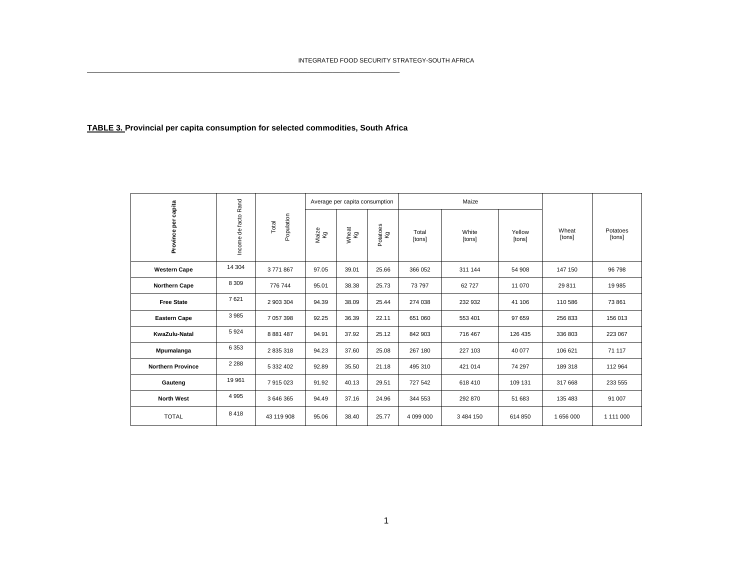### **TABLE 3. Provincial per capita consumption for selected commodities, South Africa**

\_\_\_\_\_\_\_\_\_\_\_\_\_\_\_\_\_\_\_\_\_\_\_\_\_\_\_\_\_\_\_\_\_\_\_\_\_\_\_\_\_\_\_\_\_\_\_\_\_\_\_\_\_\_\_\_\_\_\_\_\_\_\_\_\_\_\_\_\_\_\_\_\_\_\_

| capita                   |                      |                     |             | Maize<br>Average per capita consumption |                |                 |                 |                  |                 |                    |
|--------------------------|----------------------|---------------------|-------------|-----------------------------------------|----------------|-----------------|-----------------|------------------|-----------------|--------------------|
| Province per             | Income de facto Rand | Population<br>Total | Maize<br>Kg | Wheat<br>Kg                             | Potatoes<br>Κg | Total<br>[tons] | White<br>[tons] | Yellow<br>[tons] | Wheat<br>[tons] | Potatoes<br>[tons] |
| <b>Western Cape</b>      | 14 304               | 3771867             | 97.05       | 39.01                                   | 25.66          | 366 052         | 311 144         | 54 908           | 147 150         | 96 798             |
| <b>Northern Cape</b>     | 8 3 0 9              | 776 744             | 95.01       | 38.38                                   | 25.73          | 73 797          | 62 727          | 11 070           | 29 811          | 19 985             |
| <b>Free State</b>        | 7621                 | 2 903 304           | 94.39       | 38.09                                   | 25.44          | 274 038         | 232 932         | 41 106           | 110 586         | 73 861             |
| <b>Eastern Cape</b>      | 3985                 | 7 057 398           | 92.25       | 36.39                                   | 22.11          | 651 060         | 553 401         | 97 659           | 256 833         | 156 013            |
| KwaZulu-Natal            | 5924                 | 8 8 8 1 4 8 7       | 94.91       | 37.92                                   | 25.12          | 842 903         | 716 467         | 126 435          | 336 803         | 223 067            |
| Mpumalanga               | 6 3 5 3              | 2 835 318           | 94.23       | 37.60                                   | 25.08          | 267 180         | 227 103         | 40 077           | 106 621         | 71 117             |
| <b>Northern Province</b> | 2 2 8 8              | 5 332 402           | 92.89       | 35.50                                   | 21.18          | 495 310         | 421 014         | 74 297           | 189 318         | 112 964            |
| Gauteng                  | 19 961               | 7915023             | 91.92       | 40.13                                   | 29.51          | 727 542         | 618 410         | 109 131          | 317 668         | 233 555            |
| <b>North West</b>        | 4 9 9 5              | 3 646 365           | 94.49       | 37.16                                   | 24.96          | 344 553         | 292 870         | 51 683           | 135 483         | 91 007             |
| <b>TOTAL</b>             | 8418                 | 43 119 908          | 95.06       | 38.40                                   | 25.77          | 4 099 000       | 3 484 150       | 614 850          | 1 656 000       | 1 111 000          |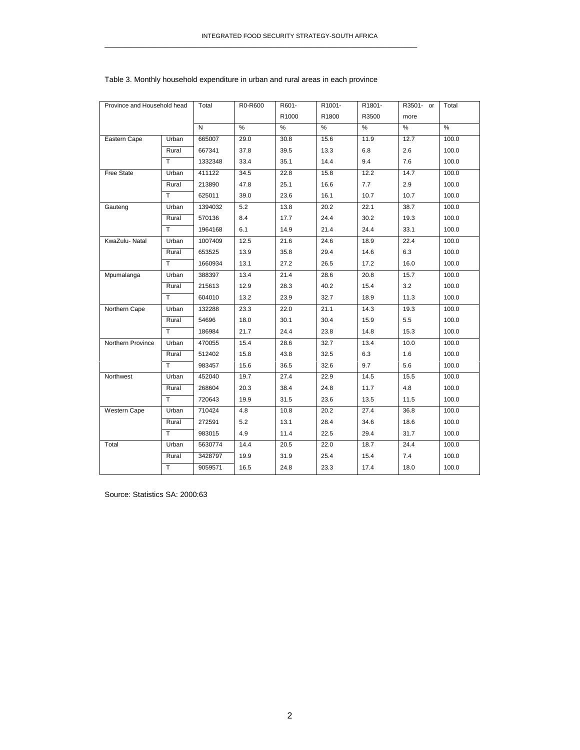| Province and Household head |       | Total        | R0-R600 | R601- | R1001- | R1801- | R3501- or | Total             |
|-----------------------------|-------|--------------|---------|-------|--------|--------|-----------|-------------------|
|                             |       |              |         | R1000 | R1800  | R3500  | more      |                   |
|                             |       | $\mathsf{N}$ | $\%$    | %     | $\%$   | $\%$   | %         | %                 |
| Eastern Cape                | Urban | 665007       | 29.0    | 30.8  | 15.6   | 11.9   | 12.7      | 100.0             |
|                             | Rural | 667341       | 37.8    | 39.5  | 13.3   | 6.8    | 2.6       | 100.0             |
|                             | T     | 1332348      | 33.4    | 35.1  | 14.4   | 9.4    | 7.6       | 100.0             |
| <b>Free State</b>           | Urban | 411122       | 34.5    | 22.8  | 15.8   | 12.2   | 14.7      | 100.0             |
|                             | Rural | 213890       | 47.8    | 25.1  | 16.6   | 7.7    | 2.9       | 100.0             |
|                             | T     | 625011       | 39.0    | 23.6  | 16.1   | 10.7   | 10.7      | 100.0             |
| Gauteng                     | Urban | 1394032      | 5.2     | 13.8  | 20.2   | 22.1   | 38.7      | $\frac{1}{100.0}$ |
|                             | Rural | 570136       | 8.4     | 17.7  | 24.4   | 30.2   | 19.3      | 100.0             |
|                             | T     | 1964168      | 6.1     | 14.9  | 21.4   | 24.4   | 33.1      | 100.0             |
| KwaZulu- Natal              | Urban | 1007409      | 12.5    | 21.6  | 24.6   | 18.9   | 22.4      | 100.0             |
|                             | Rural | 653525       | 13.9    | 35.8  | 29.4   | 14.6   | 6.3       | 100.0             |
|                             | T     | 1660934      | 13.1    | 27.2  | 26.5   | 17.2   | 16.0      | 100.0             |
| Mpumalanga                  | Urban | 388397       | 13.4    | 21.4  | 28.6   | 20.8   | 15.7      | 100.0             |
|                             | Rural | 215613       | 12.9    | 28.3  | 40.2   | 15.4   | 3.2       | 100.0             |
|                             | T     | 604010       | 13.2    | 23.9  | 32.7   | 18.9   | 11.3      | 100.0             |
| Northern Cape               | Urban | 132288       | 23.3    | 22.0  | 21.1   | 14.3   | 19.3      | 100.0             |
|                             | Rural | 54696        | 18.0    | 30.1  | 30.4   | 15.9   | 5.5       | 100.0             |
|                             | T     | 186984       | 21.7    | 24.4  | 23.8   | 14.8   | 15.3      | 100.0             |
| Northern Province           | Urban | 470055       | 15.4    | 28.6  | 32.7   | 13.4   | 10.0      | 100.0             |
|                             | Rural | 512402       | 15.8    | 43.8  | 32.5   | 6.3    | 1.6       | 100.0             |
|                             | T     | 983457       | 15.6    | 36.5  | 32.6   | 9.7    | 5.6       | 100.0             |
| Northwest                   | Urban | 452040       | 19.7    | 27.4  | 22.9   | 14.5   | 15.5      | 100.0             |
|                             | Rural | 268604       | 20.3    | 38.4  | 24.8   | 11.7   | 4.8       | 100.0             |
|                             | T     | 720643       | 19.9    | 31.5  | 23.6   | 13.5   | 11.5      | 100.0             |
| Western Cape                | Urban | 710424       | 4.8     | 10.8  | 20.2   | 27.4   | 36.8      | 100.0             |
|                             | Rural | 272591       | 5.2     | 13.1  | 28.4   | 34.6   | 18.6      | 100.0             |
|                             | T     | 983015       | 4.9     | 11.4  | 22.5   | 29.4   | 31.7      | 100.0             |
| Total                       | Urban | 5630774      | 14.4    | 20.5  | 22.0   | 18.7   | 24.4      | 100.0             |
|                             | Rural | 3428797      | 19.9    | 31.9  | 25.4   | 15.4   | 7.4       | 100.0             |
|                             | T     | 9059571      | 16.5    | 24.8  | 23.3   | 17.4   | 18.0      | 100.0             |
|                             |       |              |         |       |        |        |           |                   |

#### Table 3. Monthly household expenditure in urban and rural areas in each province

\_\_\_\_\_\_\_\_\_\_\_\_\_\_\_\_\_\_\_\_\_\_\_\_\_\_\_\_\_\_\_\_\_\_\_\_\_\_\_\_\_\_\_\_\_\_\_\_\_\_\_\_\_\_\_\_\_\_\_\_\_\_\_\_\_\_\_\_\_\_\_\_\_\_\_

Source: Statistics SA: 2000:63